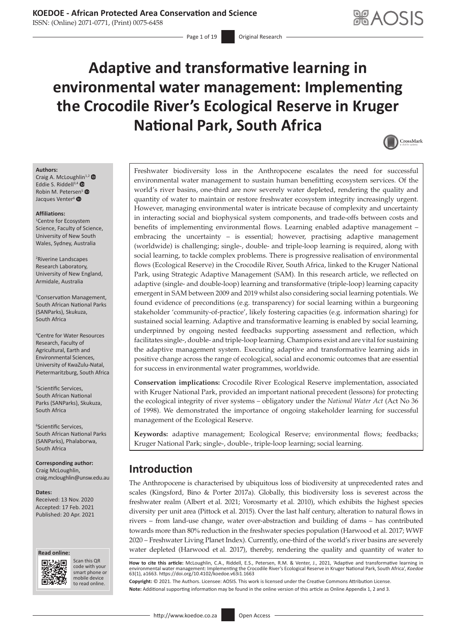### **KOEDOE - African Protected Area Conservation and Science**

ISSN: (Online) 2071-0771, (Print) 0075-6458

- Page 1 of 19 Original Research

# **Adaptive and transformative learning in environmental water management: Implementing the Crocodile River's Ecological Reserve in Kruger National Park, South Africa**



#### **Authors:**

Craig A. McLoug[hlin](https://orcid.org/0000-0002-3437-9536)<sup>1,[2](https://orcid.org/0000-0002-4853-8462)</sup> <sup>O</sup> Eddie S. Riddell<sup>3,4</sup> <sup>O</sup> Robin M. Peter[sen](http://orcid.org/0000-0002-3696-4405)<sup>5</sup> Jacques Venter<sup>6</sup>

#### **Affiliations:**

1 Centre for Ecosystem Science, Faculty of Science, University of New South Wales, Sydney, Australia

2 Riverine Landscapes Research Laboratory, University of New England, Armidale, Australia

3 Conservation Management, South African National Parks (SANParks), Skukuza, South Africa

4 Centre for Water Resources Research, Faculty of Agricultural, Earth and Environmental Sciences, University of KwaZulu-Natal, Pietermaritzburg, South Africa

5 Scientific Services, South African National Parks (SANParks), Skukuza, South Africa

6 Scientific Services, South African National Parks (SANParks), Phalaborwa, South Africa

**Corresponding author:** Craig McLoughlin, [craig.mcloughlin@unsw.edu.au](mailto:craig.mcloughlin@unsw.edu.au)

**Dates:**

Received: 13 Nov. 2020 Accepted: 17 Feb. 2021 Published: 20 Apr. 2021



而弱

Scan this QR code with your Scan this QR<br>code with your<br>smart phone or<br>mobile device mobile device to read online. to read online.

Freshwater biodiversity loss in the Anthropocene escalates the need for successful environmental water management to sustain human benefitting ecosystem services. Of the world's river basins, one-third are now severely water depleted, rendering the quality and quantity of water to maintain or restore freshwater ecosystem integrity increasingly urgent. However, managing environmental water is intricate because of complexity and uncertainty in interacting social and biophysical system components, and trade-offs between costs and benefits of implementing environmental flows. Learning enabled adaptive management – embracing the uncertainty – is essential; however, practising adaptive management (worldwide) is challenging; single-, double- and triple-loop learning is required, along with social learning, to tackle complex problems. There is progressive realisation of environmental flows (Ecological Reserve) in the Crocodile River, South Africa, linked to the Kruger National Park, using Strategic Adaptive Management (SAM). In this research article, we reflected on adaptive (single- and double-loop) learning and transformative (triple-loop) learning capacity emergent in SAM between 2009 and 2019 whilst also considering social learning potentials. We found evidence of preconditions (e.g. transparency) for social learning within a burgeoning stakeholder 'community-of-practice', likely fostering capacities (e.g. information sharing) for sustained social learning. Adaptive and transformative learning is enabled by social learning, underpinned by ongoing nested feedbacks supporting assessment and reflection, which facilitates single-, double- and triple-loop learning. Champions exist and are vital for sustaining the adaptive management system. Executing adaptive and transformative learning aids in positive change across the range of ecological, social and economic outcomes that are essential for success in environmental water programmes, worldwide.

**Conservation implications:** Crocodile River Ecological Reserve implementation, associated with Kruger National Park, provided an important national precedent (lessons) for protecting the ecological integrity of river systems – obligatory under the *National Water Act* (Act No 36 of 1998). We demonstrated the importance of ongoing stakeholder learning for successful management of the Ecological Reserve.

**Keywords:** adaptive management; Ecological Reserve; environmental flows; feedbacks; Kruger National Park; single-, double-, triple-loop learning; social learning.

### **Introduction**

The Anthropocene is characterised by ubiquitous loss of biodiversity at unprecedented rates and scales (Kingsford, Bino & Porter 2017a). Globally, this biodiversity loss is severest across the freshwater realm (Albert et al. 2021; Vorosmarty et al. 2010), which exhibits the highest species diversity per unit area (Pittock et al. 2015). Over the last half century, alteration to natural flows in rivers – from land-use change, water over-abstraction and building of dams – has contributed towards more than 80% reduction in the freshwater species population (Harwood et al. 2017; WWF 2020 – Freshwater Living Planet Index). Currently, one-third of the world's river basins are severely water depleted (Harwood et al. 2017), thereby, rendering the quality and quantity of water to

How to cite this article: McLoughlin, C.A., Riddell, E.S., Petersen, R.M. & Venter, J., 2021, 'Adaptive and transformative learning in<br>environmental water management: Implementing the Crocodile River's Ecological Reserve i 63(1), a1663. <https://doi.org/10.4102/koedoe.v63i1.1663>

**Copyright:** © 2021. The Authors. Licensee: AOSIS. This work is licensed under the Creative Commons Attribution License. **Note:** Additional supporting information may be found in the online version of this article as Online Appendix 1, 2 and 3.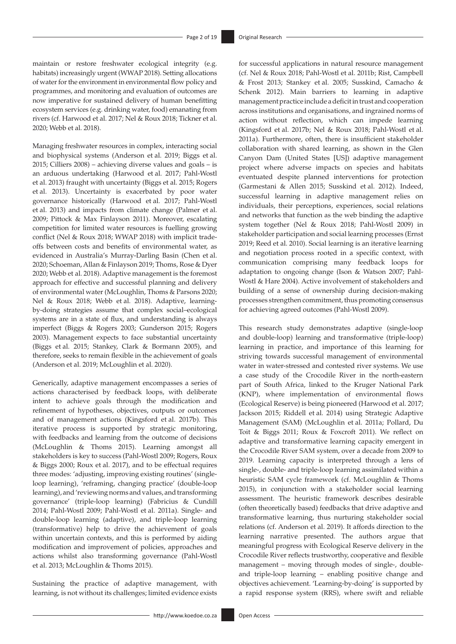maintain or restore freshwater ecological integrity (e.g. habitats) increasingly urgent (WWAP 2018). Setting allocations of water for the environment in environmental flow policy and programmes, and monitoring and evaluation of outcomes are now imperative for sustained delivery of human benefitting ecosystem services (e.g. drinking water, food) emanating from rivers (cf. Harwood et al. 2017; Nel & Roux 2018; Tickner et al. 2020; Webb et al. 2018).

Managing freshwater resources in complex, interacting social and biophysical systems (Anderson et al. 2019; Biggs et al. 2015; Cilliers 2008) – achieving diverse values and goals – is an arduous undertaking (Harwood et al. 2017; Pahl-Wostl et al. 2013) fraught with uncertainty (Biggs et al. 2015; Rogers et al. 2013). Uncertainty is exacerbated by poor water governance historically (Harwood et al. 2017; Pahl-Wostl et al. 2013) and impacts from climate change (Palmer et al. 2009; Pittock & Max Finlayson 2011). Moreover, escalating competition for limited water resources is fuelling growing conflict (Nel & Roux 2018; WWAP 2018) with implicit tradeoffs between costs and benefits of environmental water, as evidenced in Australia's Murray-Darling Basin (Chen et al. 2020; Schoeman, Allan & Finlayson 2019; Thoms, Rose & Dyer 2020; Webb et al. 2018). Adaptive management is the foremost approach for effective and successful planning and delivery of environmental water (McLoughlin, Thoms & Parsons 2020; Nel & Roux 2018; Webb et al. 2018). Adaptive, learningby-doing strategies assume that complex social–ecological systems are in a state of flux, and understanding is always imperfect (Biggs & Rogers 2003; Gunderson 2015; Rogers 2003). Management expects to face substantial uncertainty (Biggs et al. 2015; Stankey, Clark & Bormann 2005), and therefore, seeks to remain flexible in the achievement of goals (Anderson et al. 2019; McLoughlin et al. 2020).

Generically, adaptive management encompasses a series of actions characterised by feedback loops, with deliberate intent to achieve goals through the modification and refinement of hypotheses, objectives, outputs or outcomes and of management actions (Kingsford et al. 2017b). This iterative process is supported by strategic monitoring, with feedbacks and learning from the outcome of decisions (McLoughlin & Thoms 2015). Learning amongst all stakeholders is key to success (Pahl-Wostl 2009; Rogers, Roux & Biggs 2000; Roux et al. 2017), and to be effectual requires three modes: 'adjusting, improving existing routines' (singleloop learning), 'reframing, changing practice' (double-loop learning), and 'reviewing norms and values, and transforming governance' (triple-loop learning) (Fabricius & Cundill 2014; Pahl-Wostl 2009; Pahl-Wostl et al. 2011a). Single- and double-loop learning (adaptive), and triple-loop learning (transformative) help to drive the achievement of goals within uncertain contexts, and this is performed by aiding modification and improvement of policies, approaches and actions whilst also transforming governance (Pahl-Wostl et al. 2013; McLoughlin & Thoms 2015).

Sustaining the practice of adaptive management, with learning, is not without its challenges; limited evidence exists

for successful applications in natural resource management (cf. Nel & Roux 2018; Pahl-Wostl et al. 2011b; Rist, Campbell & Frost 2013; Stankey et al. 2005; Susskind, Camacho & Schenk 2012). Main barriers to learning in adaptive management practice include a deficit in trust and cooperation across institutions and organisations, and ingrained norms of action without reflection, which can impede learning (Kingsford et al. 2017b; Nel & Roux 2018; Pahl-Wostl et al. 2011a). Furthermore, often, there is insufficient stakeholder collaboration with shared learning, as shown in the Glen Canyon Dam (United States [US]) adaptive management project where adverse impacts on species and habitats eventuated despite planned interventions for protection (Garmestani & Allen 2015; Susskind et al. 2012). Indeed, successful learning in adaptive management relies on individuals, their perceptions, experiences, social relations and networks that function as the web binding the adaptive system together (Nel & Roux 2018; Pahl-Wostl 2009) in stakeholder participation and social learning processes (Ernst 2019; Reed et al. 2010). Social learning is an iterative learning and negotiation process rooted in a specific context, with communication comprising many feedback loops for adaptation to ongoing change (Ison & Watson 2007; Pahl-Wostl & Hare 2004). Active involvement of stakeholders and building of a sense of ownership during decision-making processes strengthen commitment, thus promoting consensus for achieving agreed outcomes (Pahl-Wostl 2009).

This research study demonstrates adaptive (single-loop and double-loop) learning and transformative (triple-loop) learning in practice, and importance of this learning for striving towards successful management of environmental water in water-stressed and contested river systems. We use a case study of the Crocodile River in the north-eastern part of South Africa, linked to the Kruger National Park (KNP), where implementation of environmental flows (Ecological Reserve) is being pioneered (Harwood et al. 2017; Jackson 2015; Riddell et al. 2014) using Strategic Adaptive Management (SAM) (McLoughlin et al. 2011a; Pollard, Du Toit & Biggs 2011; Roux & Foxcroft 2011). We reflect on adaptive and transformative learning capacity emergent in the Crocodile River SAM system, over a decade from 2009 to 2019. Learning capacity is interpreted through a lens of single-, double- and triple-loop learning assimilated within a heuristic SAM cycle framework (cf. McLoughlin & Thoms 2015), in conjunction with a stakeholder social learning assessment. The heuristic framework describes desirable (often theoretically based) feedbacks that drive adaptive and transformative learning, thus nurturing stakeholder social relations (cf. Anderson et al. 2019). It affords direction to the learning narrative presented. The authors argue that meaningful progress with Ecological Reserve delivery in the Crocodile River reflects trustworthy, cooperative and flexible management – moving through modes of single-, doubleand triple-loop learning – enabling positive change and objectives achievement. 'Learning-by-doing' is supported by a rapid response system (RRS), where swift and reliable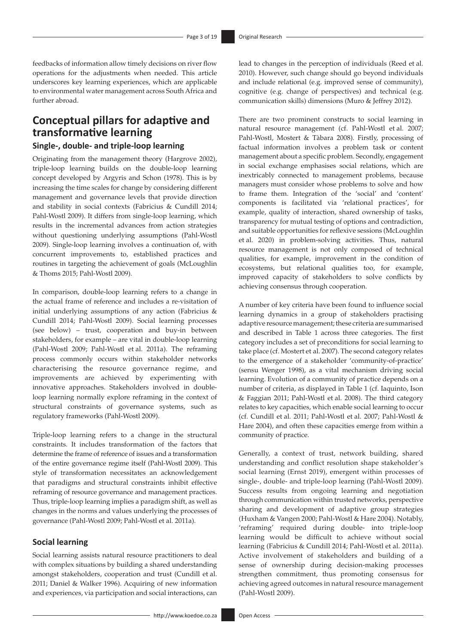feedbacks of information allow timely decisions on river flow operations for the adjustments when needed. This article underscores key learning experiences, which are applicable to environmental water management across South Africa and further abroad.

### **Conceptual pillars for adaptive and transformative learning Single-, double- and triple-loop learning**

Originating from the management theory (Hargrove 2002), triple-loop learning builds on the double-loop learning concept developed by Argyris and Schon (1978). This is by increasing the time scales for change by considering different management and governance levels that provide direction and stability in social contexts (Fabricius & Cundill 2014; Pahl-Wostl 2009). It differs from single-loop learning, which results in the incremental advances from action strategies without questioning underlying assumptions (Pahl-Wostl 2009). Single-loop learning involves a continuation of, with concurrent improvements to, established practices and routines in targeting the achievement of goals (McLoughlin & Thoms 2015; Pahl-Wostl 2009).

In comparison, double-loop learning refers to a change in the actual frame of reference and includes a re-visitation of initial underlying assumptions of any action (Fabricius & Cundill 2014; Pahl-Wostl 2009). Social learning processes (see below) – trust, cooperation and buy-in between stakeholders, for example – are vital in double-loop learning (Pahl-Wostl 2009; Pahl-Wostl et al. 2011a). The reframing process commonly occurs within stakeholder networks characterising the resource governance regime, and improvements are achieved by experimenting with innovative approaches. Stakeholders involved in doubleloop learning normally explore reframing in the context of structural constraints of governance systems, such as regulatory frameworks (Pahl-Wostl 2009).

Triple-loop learning refers to a change in the structural constraints. It includes transformation of the factors that determine the frame of reference of issues and a transformation of the entire governance regime itself (Pahl-Wostl 2009). This style of transformation necessitates an acknowledgement that paradigms and structural constraints inhibit effective reframing of resource governance and management practices. Thus, triple-loop learning implies a paradigm shift, as well as changes in the norms and values underlying the processes of governance (Pahl-Wostl 2009; Pahl-Wostl et al. 2011a).

#### **Social learning**

Social learning assists natural resource practitioners to deal with complex situations by building a shared understanding amongst stakeholders, cooperation and trust (Cundill et al. 2011; Daniel & Walker 1996). Acquiring of new information and experiences, via participation and social interactions, can lead to changes in the perception of individuals (Reed et al. 2010). However, such change should go beyond individuals and include relational (e.g. improved sense of community), cognitive (e.g. change of perspectives) and technical (e.g. communication skills) dimensions (Muro & Jeffrey 2012).

There are two prominent constructs to social learning in natural resource management (cf. Pahl-Wostl et al. 2007; Pahl-Wostl, Mostert & Tàbara 2008). Firstly, processing of factual information involves a problem task or content management about a specific problem. Secondly, engagement in social exchange emphasises social relations, which are inextricably connected to management problems, because managers must consider whose problems to solve and how to frame them. Integration of the 'social' and 'content' components is facilitated via 'relational practices', for example, quality of interaction, shared ownership of tasks, transparency for mutual testing of options and contradiction, and suitable opportunities for reflexive sessions (McLoughlin et al. 2020) in problem-solving activities. Thus, natural resource management is not only composed of technical qualities, for example, improvement in the condition of ecosystems, but relational qualities too, for example, improved capacity of stakeholders to solve conflicts by achieving consensus through cooperation.

A number of key criteria have been found to influence social learning dynamics in a group of stakeholders practising adaptive resource management; these criteria are summarised and described in Table 1 across three categories. The first category includes a set of preconditions for social learning to take place (cf. Mostert et al. 2007). The second category relates to the emergence of a stakeholder 'community-of-practice' (sensu Wenger 1998), as a vital mechanism driving social learning. Evolution of a community of practice depends on a number of criteria, as displayed in Table 1 (cf. Iaquinto, Ison & Faggian 2011; Pahl-Wostl et al. 2008). The third category relates to key capacities, which enable social learning to occur (cf. Cundill et al. 2011; Pahl-Wostl et al. 2007; Pahl-Wostl & Hare 2004), and often these capacities emerge from within a community of practice.

Generally, a context of trust, network building, shared understanding and conflict resolution shape stakeholder's social learning (Ernst 2019), emergent within processes of single-, double- and triple-loop learning (Pahl-Wostl 2009). Success results from ongoing learning and negotiation through communication within trusted networks, perspective sharing and development of adaptive group strategies (Huxham & Vangen 2000; Pahl-Wostl & Hare 2004). Notably, 'reframing' required during double- into triple-loop learning would be difficult to achieve without social learning (Fabricius & Cundill 2014; Pahl-Wostl et al. 2011a). Active involvement of stakeholders and building of a sense of ownership during decision-making processes strengthen commitment, thus promoting consensus for achieving agreed outcomes in natural resource management (Pahl-Wostl 2009).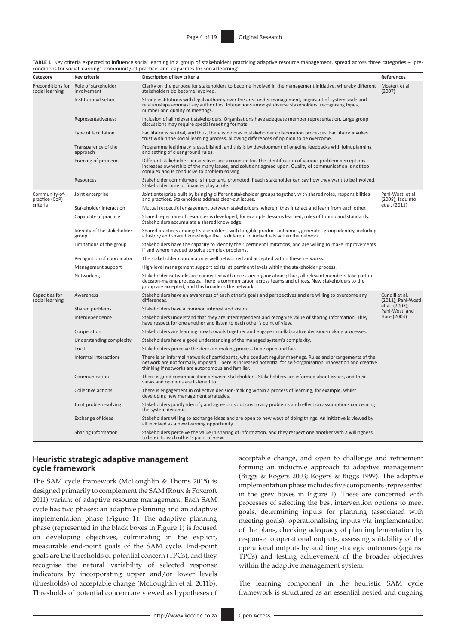| TABLE 1: Key criteria expected to influence social learning in a group of stakeholders practicing adaptive resource management, spread across three categories – 'pre- |  |
|------------------------------------------------------------------------------------------------------------------------------------------------------------------------|--|
| conditions for social learning', 'community-of-practice' and 'capacities for social learning'.                                                                         |  |

| Category                             | Key criteria                         | conditions for social realimity, community or practice and capacities for social realimity<br>Description of key criteria                                                                                                                                                       | References                                                               |  |
|--------------------------------------|--------------------------------------|---------------------------------------------------------------------------------------------------------------------------------------------------------------------------------------------------------------------------------------------------------------------------------|--------------------------------------------------------------------------|--|
| Preconditions for<br>social learning | Role of stakeholder<br>involvement   | Clarity on the purpose for stakeholders to become involved in the management initiative, whereby different<br>stakeholders do become involved.                                                                                                                                  | Mostert et al.<br>(2007)                                                 |  |
|                                      | Institutional setup                  | Strong institutions with legal authority over the area under management, cognisant of system scale and<br>relationships amongst key authorities. Interactions amongst diverse stakeholders, recognising types,<br>number and quality of meetings.                               |                                                                          |  |
|                                      | Representativeness                   | Inclusion of all relevant stakeholders. Organisations have adequate member representation. Large group<br>discussions may require special meeting formats.                                                                                                                      |                                                                          |  |
|                                      | Type of facilitation                 | Facilitator is neutral, and thus, there is no bias in stakeholder collaboration processes. Facilitator invokes<br>trust within the social learning process, allowing differences of opinion to be overcome.                                                                     |                                                                          |  |
|                                      | Transparency of the<br>approach      | Programme legitimacy is established, and this is by development of ongoing feedbacks with joint planning<br>and setting of clear ground rules.                                                                                                                                  |                                                                          |  |
|                                      | Framing of problems                  | Different stakeholder perspectives are accounted for. The identification of various problem perceptions<br>increases ownership of the many issues, and solutions agreed upon. Quality of communication is not too<br>complex and is conducive to problem solving.               |                                                                          |  |
|                                      | Resources                            | Stakeholder commitment is important, promoted if each stakeholder can say how they want to be involved.<br>Stakeholder time or finances play a role.                                                                                                                            |                                                                          |  |
| Community-of-<br>practice (CoP)      | Joint enterprise                     | Joint enterprise built by bringing different stakeholder groups together, with shared roles, responsibilities<br>and practices. Stakeholders address clear-cut issues.                                                                                                          | Pahl-Wostl et al.<br>(2008); laquinto                                    |  |
| criteria                             | Stakeholder interaction              | Mutual respectful engagement between stakeholders, wherein they interact and learn from each other.                                                                                                                                                                             | et al. (2011)                                                            |  |
|                                      | Capability of practice               | Shared repertoire of resources is developed, for example, lessons learned, rules of thumb and standards.<br>Stakeholders accumulate a shared knowledge.                                                                                                                         |                                                                          |  |
|                                      | Identity of the stakeholder<br>group | Shared practices amongst stakeholders, with tangible product outcomes, generates group identity, including<br>a history and shared knowledge that is different to individuals within the network.                                                                               |                                                                          |  |
|                                      | Limitations of the group             | Stakeholders have the capacity to identify their pertinent limitations, and are willing to make improvements<br>if and where needed to solve complex problems.                                                                                                                  |                                                                          |  |
|                                      | Recognition of coordinator           | The stakeholder coordinator is well networked and accepted within these networks.                                                                                                                                                                                               |                                                                          |  |
|                                      | Management support                   | High-level management support exists, at pertinent levels within the stakeholder process.                                                                                                                                                                                       |                                                                          |  |
|                                      | Networking                           | Stakeholder networks are connected with necessary organisations; thus, all relevant members take part in<br>decision-making processes. There is communication across teams and offices. New stakeholders to the<br>group are accepted, and this broadens the network.           |                                                                          |  |
| Capacities for<br>social learning    | Awareness                            | Stakeholders have an awareness of each other's goals and perspectives and are willing to overcome any<br>differences.                                                                                                                                                           | Cundill et al.<br>(2011); Pahl-Wostl<br>et al. (2007);<br>Pahl-Wostl and |  |
|                                      | Shared problems                      | Stakeholders have a common interest and vision.                                                                                                                                                                                                                                 |                                                                          |  |
|                                      | Interdependence                      | Stakeholders understand that they are interdependent and recognise value of sharing information. They<br>have respect for one another and listen to each other's point of view.                                                                                                 | Hare (2004)                                                              |  |
|                                      | Cooperation                          | Stakeholders are learning how to work together and engage in collaborative decision-making processes.                                                                                                                                                                           |                                                                          |  |
|                                      | Understanding complexity             | Stakeholders have a good understanding of the managed system's complexity.                                                                                                                                                                                                      |                                                                          |  |
|                                      | Trust                                | Stakeholders perceive the decision-making process to be open and fair.                                                                                                                                                                                                          |                                                                          |  |
|                                      | Informal interactions                | There is an informal network of participants, who conduct regular meetings. Rules and arrangements of the<br>network are not formally imposed. There is increased potential for self-organisation, innovation and creative<br>thinking if networks are autonomous and familiar. |                                                                          |  |
|                                      | Communication                        | There is good communication between stakeholders. Stakeholders are informed about issues, and their<br>views and opinions are listened to.                                                                                                                                      |                                                                          |  |
|                                      | Collective actions                   | There is engagement in collective decision-making within a process of learning, for example, whilst<br>developing new management strategies.                                                                                                                                    |                                                                          |  |
|                                      | Joint problem-solving                | Stakeholders jointly identify and agree on solutions to any problems and reflect on assumptions concerning<br>the system dynamics.                                                                                                                                              |                                                                          |  |
|                                      | Exchange of ideas                    | Stakeholders willing to exchange ideas and are open to new ways of doing things. An initiative is viewed by<br>all involved as a new learning opportunity.                                                                                                                      |                                                                          |  |
|                                      | Sharing information                  | Stakeholders perceive the value in sharing of information, and they respect one another with a willingness<br>to listen to each other's point of view.                                                                                                                          |                                                                          |  |

#### **Heuristic strategic adaptive management cycle framework**

The SAM cycle framework (McLoughlin & Thoms 2015) is designed primarily to complement the SAM (Roux & Foxcroft 2011) variant of adaptive resource management. Each SAM cycle has two phases: an adaptive planning and an adaptive implementation phase (Figure 1). The adaptive planning phase (represented in the black boxes in Figure 1) is focused on developing objectives, culminating in the explicit, measurable end-point goals of the SAM cycle. End-point goals are the thresholds of potential concern (TPCs), and they recognise the natural variability of selected response indicators by incorporating upper and/or lower levels (thresholds) of acceptable change (McLoughlin et al. 2011b). Thresholds of potential concern are viewed as hypotheses of acceptable change, and open to challenge and refinement forming an inductive approach to adaptive management (Biggs & Rogers 2003; Rogers & Biggs 1999). The adaptive implementation phase includes five components (represented in the grey boxes in Figure 1). These are concerned with processes of selecting the best intervention options to meet goals, determining inputs for planning (associated with meeting goals), operationalising inputs via implementation of the plans, checking adequacy of plan implementation by response to operational outputs, assessing suitability of the operational outputs by auditing strategic outcomes (against TPCs) and testing achievement of the broader objectives within the adaptive management system.

The learning component in the heuristic SAM cycle framework is structured as an essential nested and ongoing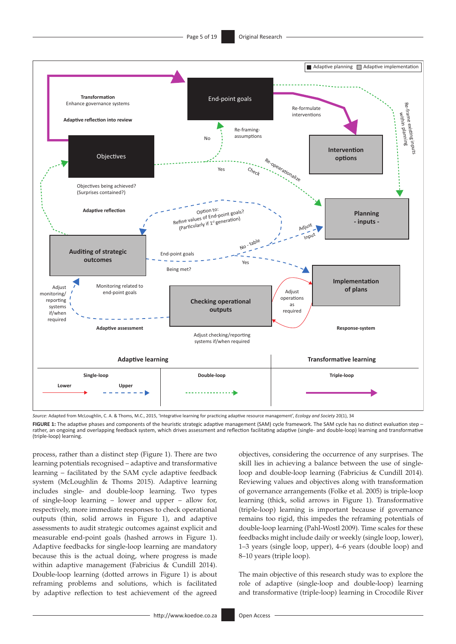

*Source*: Adapted from McLoughlin, C. A. & Thoms, M.C., 2015, 'Integrative learning for practicing adaptive resource management', *Ecology and Society* 20(1), 34

FIGURE 1: The adaptive phases and components of the heuristic strategic adaptive management (SAM) cycle framework. The SAM cycle has no distinct evaluation step rather, an ongoing and overlapping feedback system, which drives assessment and reflection facilitating adaptive (single- and double-loop) learning and transformative (triple-loop) learning.

process, rather than a distinct step (Figure 1). There are two learning potentials recognised – adaptive and transformative learning – facilitated by the SAM cycle adaptive feedback system (McLoughlin & Thoms 2015). Adaptive learning includes single- and double-loop learning. Two types of single-loop learning – lower and upper – allow for, respectively, more immediate responses to check operational outputs (thin, solid arrows in Figure 1), and adaptive assessments to audit strategic outcomes against explicit and measurable end-point goals (hashed arrows in Figure 1). Adaptive feedbacks for single-loop learning are mandatory because this is the actual doing, where progress is made within adaptive management (Fabricius & Cundill 2014). Double-loop learning (dotted arrows in Figure 1) is about reframing problems and solutions, which is facilitated by adaptive reflection to test achievement of the agreed

objectives, considering the occurrence of any surprises. The skill lies in achieving a balance between the use of singleloop and double-loop learning (Fabricius & Cundill 2014). Reviewing values and objectives along with transformation of governance arrangements (Folke et al. 2005) is triple-loop learning (thick, solid arrows in Figure 1). Transformative (triple-loop) learning is important because if governance remains too rigid, this impedes the reframing potentials of double-loop learning (Pahl-Wostl 2009). Time scales for these feedbacks might include daily or weekly (single loop, lower), 1–3 years (single loop, upper), 4–6 years (double loop) and 8–10 years (triple loop).

The main objective of this research study was to explore the role of adaptive (single-loop and double-loop) learning and transformative (triple-loop) learning in Crocodile River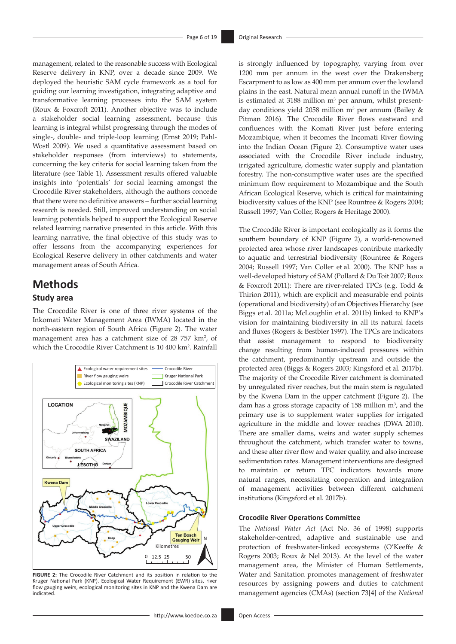management, related to the reasonable success with Ecological Reserve delivery in KNP, over a decade since 2009. We deployed the heuristic SAM cycle framework as a tool for guiding our learning investigation, integrating adaptive and transformative learning processes into the SAM system (Roux & Foxcroft 2011). Another objective was to include a stakeholder social learning assessment, because this learning is integral whilst progressing through the modes of single-, double- and triple-loop learning (Ernst 2019; Pahl-Wostl 2009). We used a quantitative assessment based on stakeholder responses (from interviews) to statements, concerning the key criteria for social learning taken from the literature (see Table 1). Assessment results offered valuable insights into 'potentials' for social learning amongst the Crocodile River stakeholders, although the authors concede that there were no definitive answers – further social learning research is needed. Still, improved understanding on social learning potentials helped to support the Ecological Reserve related learning narrative presented in this article. With this learning narrative, the final objective of this study was to offer lessons from the accompanying experiences for Ecological Reserve delivery in other catchments and water management areas of South Africa.

## **Methods Study area**

The Crocodile River is one of three river systems of the Inkomati Water Management Area (IWMA) located in the north-eastern region of South Africa (Figure 2). The water management area has a catchment size of 28 757 km<sup>2</sup>, of which the Crocodile River Catchment is 10 400 km<sup>2</sup>. Rainfall



**FIGURE 2:** The Crocodile River Catchment and its position in relation to the Kruger National Park (KNP). Ecological Water Requirement (EWR) sites, river flow gauging weirs, ecological monitoring sites in KNP and the Kwena Dam are indicated.

is strongly influenced by topography, varying from over 1200 mm per annum in the west over the Drakensberg Escarpment to as low as 400 mm per annum over the lowland plains in the east. Natural mean annual runoff in the IWMA is estimated at  $3188$  million  $m<sup>3</sup>$  per annum, whilst presentday conditions yield 2058 million  $m^3$  per annum (Bailey & Pitman 2016). The Crocodile River flows eastward and confluences with the Komati River just before entering Mozambique, when it becomes the Incomati River flowing into the Indian Ocean (Figure 2). Consumptive water uses associated with the Crocodile River include industry, irrigated agriculture, domestic water supply and plantation forestry. The non-consumptive water uses are the specified minimum flow requirement to Mozambique and the South African Ecological Reserve, which is critical for maintaining biodiversity values of the KNP (see Rountree & Rogers 2004; Russell 1997; Van Coller, Rogers & Heritage 2000).

The Crocodile River is important ecologically as it forms the southern boundary of KNP (Figure 2), a world-renowned protected area whose river landscapes contribute markedly to aquatic and terrestrial biodiversity (Rountree & Rogers 2004; Russell 1997; Van Coller et al. 2000). The KNP has a well-developed history of SAM (Pollard & Du Toit 2007; Roux & Foxcroft 2011): There are river-related TPCs (e.g. Todd & Thirion 2011), which are explicit and measurable end points (operational and biodiversity) of an Objectives Hierarchy (see Biggs et al. 2011a; McLoughlin et al. 2011b) linked to KNP's vision for maintaining biodiversity in all its natural facets and fluxes (Rogers & Bestbier 1997). The TPCs are indicators that assist management to respond to biodiversity change resulting from human-induced pressures within the catchment, predominantly upstream and outside the protected area (Biggs & Rogers 2003; Kingsford et al. 2017b). The majority of the Crocodile River catchment is dominated by unregulated river reaches, but the main stem is regulated by the Kwena Dam in the upper catchment (Figure 2). The dam has a gross storage capacity of  $158$  million m<sup>3</sup>, and the primary use is to supplement water supplies for irrigated agriculture in the middle and lower reaches (DWA 2010). There are smaller dams, weirs and water supply schemes throughout the catchment, which transfer water to towns, and these alter river flow and water quality, and also increase sedimentation rates. Management interventions are designed to maintain or return TPC indicators towards more natural ranges, necessitating cooperation and integration of management activities between different catchment institutions (Kingsford et al. 2017b).

#### **Crocodile River Operations Committee**

The *National Water Act* (Act No. 36 of 1998) supports stakeholder-centred, adaptive and sustainable use and protection of freshwater-linked ecosystems (O'Keeffe & Rogers 2003; Roux & Nel 2013). At the level of the water management area, the Minister of Human Settlements, Water and Sanitation promotes management of freshwater resources by assigning powers and duties to catchment management agencies (CMAs) (section 73[4] of the *National*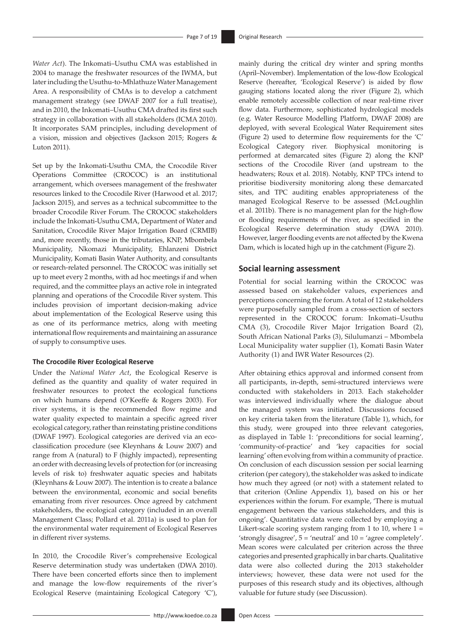*Water Act*). The Inkomati–Usuthu CMA was established in 2004 to manage the freshwater resources of the IWMA, but later including the Usuthu-to-Mhlathuze Water Management Area. A responsibility of CMAs is to develop a catchment management strategy (see DWAF 2007 for a full treatise), and in 2010, the Inkomati–Usuthu CMA drafted its first such strategy in collaboration with all stakeholders (ICMA 2010). It incorporates SAM principles, including development of a vision, mission and objectives (Jackson 2015; Rogers & Luton 2011).

Set up by the Inkomati-Usuthu CMA, the Crocodile River Operations Committee (CROCOC) is an institutional arrangement, which oversees management of the freshwater resources linked to the Crocodile River (Harwood et al. 2017; Jackson 2015), and serves as a technical subcommittee to the broader Crocodile River Forum. The CROCOC stakeholders include the Inkomati-Usuthu CMA, Department of Water and Sanitation, Crocodile River Major Irrigation Board (CRMIB) and, more recently, those in the tributaries, KNP, Mbombela Municipality, Nkomazi Municipality, Ehlanzeni District Municipality, Komati Basin Water Authority, and consultants or research-related personnel. The CROCOC was initially set up to meet every 2 months, with ad hoc meetings if and when required, and the committee plays an active role in integrated planning and operations of the Crocodile River system. This includes provision of important decision-making advice about implementation of the Ecological Reserve using this as one of its performance metrics, along with meeting international flow requirements and maintaining an assurance of supply to consumptive uses.

#### **The Crocodile River Ecological Reserve**

Under the *National Water Act*, the Ecological Reserve is defined as the quantity and quality of water required in freshwater resources to protect the ecological functions on which humans depend (O'Keeffe & Rogers 2003). For river systems, it is the recommended flow regime and water quality expected to maintain a specific agreed river ecological category, rather than reinstating pristine conditions (DWAF 1997). Ecological categories are derived via an ecoclassification procedure (see Kleynhans & Louw 2007) and range from A (natural) to F (highly impacted), representing an order with decreasing levels of protection for (or increasing levels of risk to) freshwater aquatic species and habitats (Kleynhans & Louw 2007). The intention is to create a balance between the environmental, economic and social benefits emanating from river resources. Once agreed by catchment stakeholders, the ecological category (included in an overall Management Class; Pollard et al. 2011a) is used to plan for the environmental water requirement of Ecological Reserves in different river systems.

In 2010, the Crocodile River's comprehensive Ecological Reserve determination study was undertaken (DWA 2010). There have been concerted efforts since then to implement and manage the low-flow requirements of the river's Ecological Reserve (maintaining Ecological Category 'C'), mainly during the critical dry winter and spring months (April–November). Implementation of the low-flow Ecological Reserve (hereafter, 'Ecological Reserve') is aided by flow gauging stations located along the river (Figure 2), which enable remotely accessible collection of near real-time river flow data. Furthermore, sophisticated hydrological models (e.g. Water Resource Modelling Platform, DWAF 2008) are deployed, with several Ecological Water Requirement sites (Figure 2) used to determine flow requirements for the 'C' Ecological Category river. Biophysical monitoring is performed at demarcated sites (Figure 2) along the KNP sections of the Crocodile River (and upstream to the headwaters; Roux et al. 2018). Notably, KNP TPCs intend to prioritise biodiversity monitoring along these demarcated sites, and TPC auditing enables appropriateness of the managed Ecological Reserve to be assessed (McLoughlin et al. 2011b). There is no management plan for the high-flow or flooding requirements of the river, as specified in the Ecological Reserve determination study (DWA 2010). However, larger flooding events are not affected by the Kwena Dam, which is located high up in the catchment (Figure 2).

#### **Social learning assessment**

Potential for social learning within the CROCOC was assessed based on stakeholder values, experiences and perceptions concerning the forum. A total of 12 stakeholders were purposefully sampled from a cross-section of sectors represented in the CROCOC forum: Inkomati–Usuthu CMA (3), Crocodile River Major Irrigation Board (2), South African National Parks (3), Silulumanzi – Mbombela Local Municipality water supplier (1), Komati Basin Water Authority (1) and IWR Water Resources (2).

After obtaining ethics approval and informed consent from all participants, in-depth, semi-structured interviews were conducted with stakeholders in 2013. Each stakeholder was interviewed individually where the dialogue about the managed system was initiated. Discussions focused on key criteria taken from the literature (Table 1), which, for this study, were grouped into three relevant categories, as displayed in Table 1: 'preconditions for social learning', 'community-of-practice' and 'key capacities for social learning' often evolving from within a community of practice. On conclusion of each discussion session per social learning criterion (per category), the stakeholder was asked to indicate how much they agreed (or not) with a statement related to that criterion (Online Appendix 1), based on his or her experiences within the forum. For example, 'There is mutual engagement between the various stakeholders, and this is ongoing'. Quantitative data were collected by employing a Likert-scale scoring system ranging from 1 to 10, where  $1 =$ 'strongly disagree', 5 = 'neutral' and 10 = 'agree completely'. Mean scores were calculated per criterion across the three categories and presented graphically in bar charts. Qualitative data were also collected during the 2013 stakeholder interviews; however, these data were not used for the purposes of this research study and its objectives, although valuable for future study (see Discussion).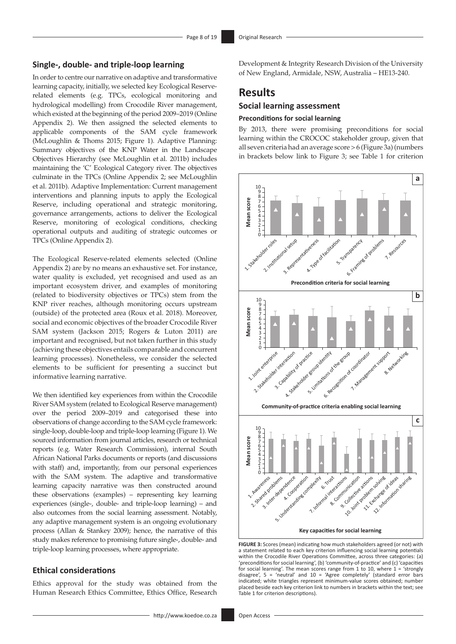**Results**

**Social learning assessment Preconditions for social learning**

#### **Single-, double- and triple-loop learning**

In order to centre our narrative on adaptive and transformative learning capacity, initially, we selected key Ecological Reserverelated elements (e.g. TPCs, ecological monitoring and hydrological modelling) from Crocodile River management, which existed at the beginning of the period 2009–2019 (Online Appendix 2). We then assigned the selected elements to applicable components of the SAM cycle framework (McLoughlin & Thoms 2015; Figure 1). Adaptive Planning: Summary objectives of the KNP Water in the Landscape Objectives Hierarchy (see McLoughlin et al. 2011b) includes maintaining the 'C' Ecological Category river. The objectives culminate in the TPCs (Online Appendix 2; see McLoughlin et al. 2011b). Adaptive Implementation: Current management interventions and planning inputs to apply the Ecological Reserve, including operational and strategic monitoring, governance arrangements, actions to deliver the Ecological Reserve, monitoring of ecological conditions, checking operational outputs and auditing of strategic outcomes or TPCs (Online Appendix 2).

The Ecological Reserve-related elements selected (Online Appendix 2) are by no means an exhaustive set. For instance, water quality is excluded, yet recognised and used as an important ecosystem driver, and examples of monitoring (related to biodiversity objectives or TPCs) stem from the KNP river reaches, although monitoring occurs upstream (outside) of the protected area (Roux et al. 2018). Moreover, social and economic objectives of the broader Crocodile River SAM system (Jackson 2015; Rogers & Luton 2011) are important and recognised, but not taken further in this study (achieving these objectives entails comparable and concurrent learning processes). Nonetheless, we consider the selected elements to be sufficient for presenting a succinct but informative learning narrative.

We then identified key experiences from within the Crocodile River SAM system (related to Ecological Reserve management) over the period 2009–2019 and categorised these into observations of change according to the SAM cycle framework: single-loop, double-loop and triple-loop learning (Figure 1). We sourced information from journal articles, research or technical reports (e.g. Water Research Commission), internal South African National Parks documents or reports (and discussions with staff) and, importantly, from our personal experiences with the SAM system. The adaptive and transformative learning capacity narrative was then constructed around these observations (examples) – representing key learning experiences (single-, double- and triple-loop learning) – and also outcomes from the social learning assessment. Notably, any adaptive management system is an ongoing evolutionary process (Allan & Stankey 2009); hence, the narrative of this study makes reference to promising future single-, double- and triple-loop learning processes, where appropriate.

#### **Ethical considerations**

Ethics approval for the study was obtained from the Human Research Ethics Committee, Ethics Office, Research all seven criteria had an average score > 6 (Figure 3a) (numbers in brackets below link to Figure 3; see Table 1 for criterion

By 2013, there were promising preconditions for social learning within the CROCOC stakeholder group, given that

Development & Integrity Research Division of the University of New England, Armidale, NSW, Australia – HE13-240.



**FIGURE 3:** Scores (mean) indicating how much stakeholders agreed (or not) with a statement related to each key criterion influencing social learning potentials within the Crocodile River Operations Committee, across three categories: (a) 'preconditions for social learning', (b) 'community-of-practice' and (c) 'capacities for social learning'. The mean scores range from 1 to 10, where  $1 =$  'strongly disagree', 5 = 'neutral' and 10 = 'Agree completely' (standard error bars indicated; white triangles represent minimum-value scores obtained; number placed beside each key criterion link to numbers in brackets within the text; see Table 1 for criterion descriptions).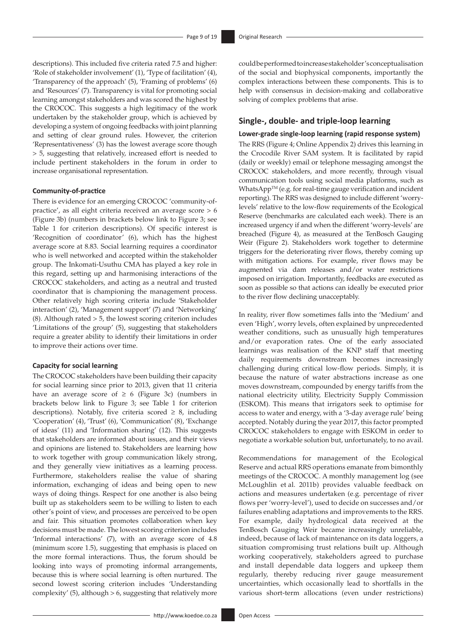descriptions). This included five criteria rated 7.5 and higher: 'Role of stakeholder involvement' (1), 'Type of facilitation' (4), 'Transparency of the approach' (5), 'Framing of problems' (6) and 'Resources' (7). Transparency is vital for promoting social learning amongst stakeholders and was scored the highest by the CROCOC. This suggests a high legitimacy of the work undertaken by the stakeholder group, which is achieved by developing a system of ongoing feedbacks with joint planning and setting of clear ground rules. However, the criterion 'Representativeness' (3) has the lowest average score though > 5, suggesting that relatively, increased effort is needed to include pertinent stakeholders in the forum in order to increase organisational representation.

#### **Community-of-practice**

There is evidence for an emerging CROCOC 'community-ofpractice', as all eight criteria received an average score > 6 (Figure 3b) (numbers in brackets below link to Figure 3; see Table 1 for criterion descriptions). Of specific interest is 'Recognition of coordinator' (6), which has the highest average score at 8.83. Social learning requires a coordinator who is well networked and accepted within the stakeholder group. The Inkomati-Usuthu CMA has played a key role in this regard, setting up and harmonising interactions of the CROCOC stakeholders, and acting as a neutral and trusted coordinator that is championing the management process. Other relatively high scoring criteria include 'Stakeholder interaction' (2), 'Management support' (7) and 'Networking' (8). Although rated  $> 5$ , the lowest scoring criterion includes 'Limitations of the group' (5), suggesting that stakeholders require a greater ability to identify their limitations in order to improve their actions over time.

#### **Capacity for social learning**

The CROCOC stakeholders have been building their capacity for social learning since prior to 2013, given that 11 criteria have an average score of  $\geq 6$  (Figure 3c) (numbers in brackets below link to Figure 3; see Table 1 for criterion descriptions). Notably, five criteria scored  $\geq$  8, including 'Cooperation' (4), 'Trust' (6), 'Communication' (8), 'Exchange of ideas' (11) and 'Information sharing' (12). This suggests that stakeholders are informed about issues, and their views and opinions are listened to. Stakeholders are learning how to work together with group communication likely strong, and they generally view initiatives as a learning process. Furthermore, stakeholders realise the value of sharing information, exchanging of ideas and being open to new ways of doing things. Respect for one another is also being built up as stakeholders seem to be willing to listen to each other's point of view, and processes are perceived to be open and fair. This situation promotes collaboration when key decisions must be made. The lowest scoring criterion includes 'Informal interactions' (7), with an average score of 4.8 (minimum score 1.5), suggesting that emphasis is placed on the more formal interactions. Thus, the forum should be looking into ways of promoting informal arrangements, because this is where social learning is often nurtured. The second lowest scoring criterion includes 'Understanding complexity' (5), although > 6, suggesting that relatively more

could be performed to increase stakeholder's conceptualisation of the social and biophysical components, importantly the complex interactions between these components. This is to help with consensus in decision-making and collaborative solving of complex problems that arise.

### **Single-, double- and triple-loop learning**

#### **Lower-grade single-loop learning (rapid response system)**

The RRS (Figure 4; Online Appendix 2) drives this learning in the Crocodile River SAM system. It is facilitated by rapid (daily or weekly) email or telephone messaging amongst the CROCOC stakeholders, and more recently, through visual communication tools using social media platforms, such as WhatsApp $TM$  (e.g. for real-time gauge verification and incident reporting). The RRS was designed to include different 'worrylevels' relative to the low-flow requirements of the Ecological Reserve (benchmarks are calculated each week). There is an increased urgency if and when the different 'worry-levels' are breached (Figure 4), as measured at the TenBosch Gauging Weir (Figure 2). Stakeholders work together to determine triggers for the deteriorating river flows, thereby coming up with mitigation actions. For example, river flows may be augmented via dam releases and/or water restrictions imposed on irrigation. Importantly, feedbacks are executed as soon as possible so that actions can ideally be executed prior to the river flow declining unacceptably.

In reality, river flow sometimes falls into the 'Medium' and even 'High', worry levels, often explained by unprecedented weather conditions, such as unusually high temperatures and/or evaporation rates. One of the early associated learnings was realisation of the KNP staff that meeting daily requirements downstream becomes increasingly challenging during critical low-flow periods. Simply, it is because the nature of water abstractions increase as one moves downstream, compounded by energy tariffs from the national electricity utility, Electricity Supply Commission (ESKOM). This means that irrigators seek to optimise for access to water and energy, with a '3-day average rule' being accepted. Notably during the year 2017, this factor prompted CROCOC stakeholders to engage with ESKOM in order to negotiate a workable solution but, unfortunately, to no avail.

Recommendations for management of the Ecological Reserve and actual RRS operations emanate from bimonthly meetings of the CROCOC. A monthly management log (see McLoughlin et al. 2011b) provides valuable feedback on actions and measures undertaken (e.g. percentage of river flows per 'worry-level'), used to decide on successes and/or failures enabling adaptations and improvements to the RRS. For example, daily hydrological data received at the TenBosch Gauging Weir became increasingly unreliable, indeed, because of lack of maintenance on its data loggers, a situation compromising trust relations built up. Although working cooperatively, stakeholders agreed to purchase and install dependable data loggers and upkeep them regularly, thereby reducing river gauge measurement uncertainties, which occasionally lead to shortfalls in the various short-term allocations (even under restrictions)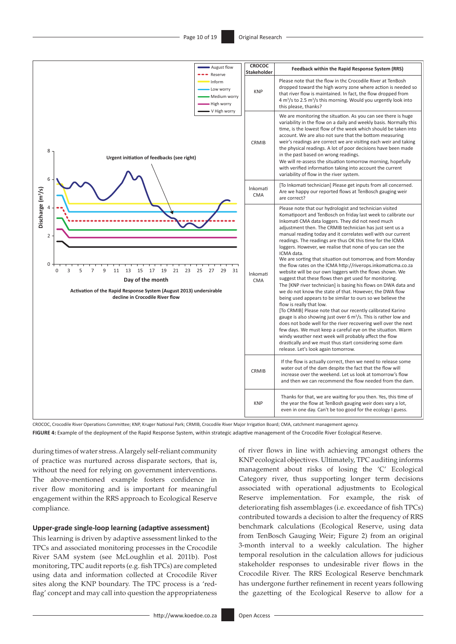

CROCOC, Crocodile River Operations Committee; KNP, Kruger National Park; CRMIB, Crocodile River Major Irrigation Board; CMA, catchment management agency.

**FIGURE 4:** Example of the deployment of the Rapid Response System, within strategic adaptive management of the Crocodile River Ecological Reserve.

during times of water stress. A largely self-reliant community of practice was nurtured across disparate sectors, that is, without the need for relying on government interventions. The above-mentioned example fosters confidence in river flow monitoring and is important for meaningful engagement within the RRS approach to Ecological Reserve compliance.

#### **Upper-grade single-loop learning (adaptive assessment)**

This learning is driven by adaptive assessment linked to the TPCs and associated monitoring processes in the Crocodile River SAM system (see McLoughlin et al. 2011b). Post monitoring, TPC audit reports (e.g. fish TPCs) are completed using data and information collected at Crocodile River sites along the KNP boundary. The TPC process is a 'redflag' concept and may call into question the appropriateness

of river flows in line with achieving amongst others the KNP ecological objectives. Ultimately, TPC auditing informs management about risks of losing the 'C' Ecological Category river, thus supporting longer term decisions associated with operational adjustments to Ecological Reserve implementation. For example, the risk of deteriorating fish assemblages (i.e. exceedance of fish TPCs) contributed towards a decision to alter the frequency of RRS benchmark calculations (Ecological Reserve, using data from TenBosch Gauging Weir; Figure 2) from an original 3-month interval to a weekly calculation. The higher temporal resolution in the calculation allows for judicious stakeholder responses to undesirable river flows in the Crocodile River. The RRS Ecological Reserve benchmark has undergone further refinement in recent years following the gazetting of the Ecological Reserve to allow for a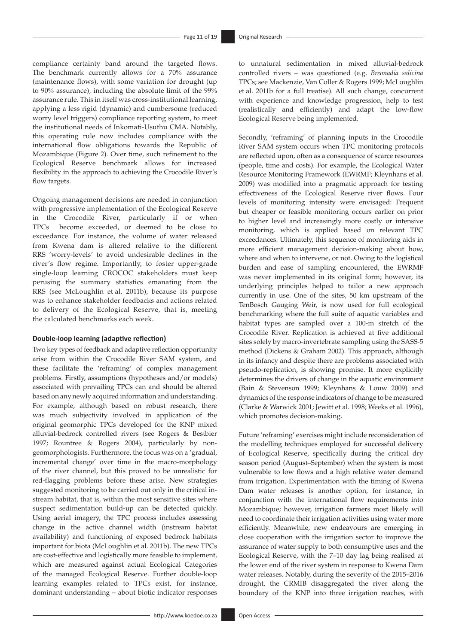compliance certainty band around the targeted flows. The benchmark currently allows for a 70% assurance (maintenance flows), with some variation for drought (up to 90% assurance), including the absolute limit of the 99% assurance rule. This in itself was cross-institutional learning, applying a less rigid (dynamic) and cumbersome (reduced worry level triggers) compliance reporting system, to meet the institutional needs of Inkomati-Usuthu CMA. Notably, this operating rule now includes compliance with the international flow obligations towards the Republic of Mozambique (Figure 2). Over time, such refinement to the Ecological Reserve benchmark allows for increased flexibility in the approach to achieving the Crocodile River's flow targets.

Ongoing management decisions are needed in conjunction with progressive implementation of the Ecological Reserve in the Crocodile River, particularly if or when TPCs become exceeded, or deemed to be close to exceedance. For instance, the volume of water released from Kwena dam is altered relative to the different RRS 'worry-levels' to avoid undesirable declines in the river's flow regime. Importantly, to foster upper-grade single-loop learning CROCOC stakeholders must keep perusing the summary statistics emanating from the RRS (see McLoughlin et al. 2011b), because its purpose was to enhance stakeholder feedbacks and actions related to delivery of the Ecological Reserve, that is, meeting the calculated benchmarks each week.

#### **Double-loop learning (adaptive reflection)**

Two key types of feedback and adaptive reflection opportunity arise from within the Crocodile River SAM system, and these facilitate the 'reframing' of complex management problems. Firstly, assumptions (hypotheses and/or models) associated with prevailing TPCs can and should be altered based on any newly acquired information and understanding. For example, although based on robust research, there was much subjectivity involved in application of the original geomorphic TPCs developed for the KNP mixed alluvial-bedrock controlled rivers (see Rogers & Bestbier 1997; Rountree & Rogers 2004), particularly by nongeomorphologists. Furthermore, the focus was on a 'gradual, incremental change' over time in the macro-morphology of the river channel, but this proved to be unrealistic for red-flagging problems before these arise. New strategies suggested monitoring to be carried out only in the critical instream habitat, that is, within the most sensitive sites where suspect sedimentation build-up can be detected quickly. Using aerial imagery, the TPC process includes assessing change in the active channel width (instream habitat availability) and functioning of exposed bedrock habitats important for biota (McLoughlin et al. 2011b). The new TPCs are cost-effective and logistically more feasible to implement, which are measured against actual Ecological Categories of the managed Ecological Reserve. Further double-loop learning examples related to TPCs exist, for instance, dominant understanding – about biotic indicator responses

to unnatural sedimentation in mixed alluvial-bedrock controlled rivers – was questioned (e.g. *Breonadia salicina* TPCs; see Mackenzie, Van Coller & Rogers 1999; McLoughlin et al. 2011b for a full treatise). All such change, concurrent with experience and knowledge progression, help to test (realistically and efficiently) and adapt the low-flow Ecological Reserve being implemented.

Secondly, 'reframing' of planning inputs in the Crocodile River SAM system occurs when TPC monitoring protocols are reflected upon, often as a consequence of scarce resources (people, time and costs). For example, the Ecological Water Resource Monitoring Framework (EWRMF; Kleynhans et al. 2009) was modified into a pragmatic approach for testing effectiveness of the Ecological Reserve river flows. Four levels of monitoring intensity were envisaged: Frequent but cheaper or feasible monitoring occurs earlier on prior to higher level and increasingly more costly or intensive monitoring, which is applied based on relevant TPC exceedances. Ultimately, this sequence of monitoring aids in more efficient management decision-making about how, where and when to intervene, or not. Owing to the logistical burden and ease of sampling encountered, the EWRMF was never implemented in its original form; however, its underlying principles helped to tailor a new approach currently in use. One of the sites, 50 km upstream of the TenBosch Gauging Weir, is now used for full ecological benchmarking where the full suite of aquatic variables and habitat types are sampled over a 100-m stretch of the Crocodile River. Replication is achieved at five additional sites solely by macro-invertebrate sampling using the SASS-5 method (Dickens & Graham 2002). This approach, although in its infancy and despite there are problems associated with pseudo-replication, is showing promise. It more explicitly determines the drivers of change in the aquatic environment (Bain & Stevenson 1999; Kleynhans & Louw 2009) and dynamics of the response indicators of change to be measured (Clarke & Warwick 2001; Jewitt et al. 1998; Weeks et al. 1996), which promotes decision-making.

Future 'reframing' exercises might include reconsideration of the modelling techniques employed for successful delivery of Ecological Reserve, specifically during the critical dry season period (August–September) when the system is most vulnerable to low flows and a high relative water demand from irrigation. Experimentation with the timing of Kwena Dam water releases is another option, for instance, in conjunction with the international flow requirements into Mozambique; however, irrigation farmers most likely will need to coordinate their irrigation activities using water more efficiently. Meanwhile, new endeavours are emerging in close cooperation with the irrigation sector to improve the assurance of water supply to both consumptive uses and the Ecological Reserve, with the 7–10 day lag being realised at the lower end of the river system in response to Kwena Dam water releases. Notably, during the severity of the 2015–2016 drought, the CRMIB disaggregated the river along the boundary of the KNP into three irrigation reaches, with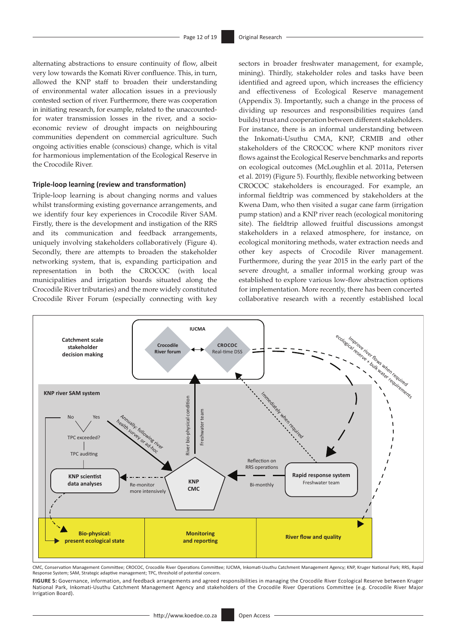alternating abstractions to ensure continuity of flow, albeit very low towards the Komati River confluence. This, in turn, allowed the KNP staff to broaden their understanding of environmental water allocation issues in a previously contested section of river. Furthermore, there was cooperation in initiating research, for example, related to the unaccountedfor water transmission losses in the river, and a socioeconomic review of drought impacts on neighbouring communities dependent on commercial agriculture. Such ongoing activities enable (conscious) change, which is vital for harmonious implementation of the Ecological Reserve in the Crocodile River.

#### **Triple-loop learning (review and transformation)**

Triple-loop learning is about changing norms and values whilst transforming existing governance arrangements, and we identify four key experiences in Crocodile River SAM. Firstly, there is the development and instigation of the RRS and its communication and feedback arrangements, uniquely involving stakeholders collaboratively (Figure 4). Secondly, there are attempts to broaden the stakeholder networking system, that is, expanding participation and representation in both the CROCOC (with local municipalities and irrigation boards situated along the Crocodile River tributaries) and the more widely constituted Crocodile River Forum (especially connecting with key

sectors in broader freshwater management, for example, mining). Thirdly, stakeholder roles and tasks have been identified and agreed upon, which increases the efficiency and effectiveness of Ecological Reserve management (Appendix 3). Importantly, such a change in the process of dividing up resources and responsibilities requires (and builds) trust and cooperation between different stakeholders. For instance, there is an informal understanding between the Inkomati-Usuthu CMA, KNP, CRMIB and other stakeholders of the CROCOC where KNP monitors river flows against the Ecological Reserve benchmarks and reports on ecological outcomes (McLoughlin et al. 2011a, Petersen et al. 2019) (Figure 5). Fourthly, flexible networking between CROCOC stakeholders is encouraged. For example, an informal fieldtrip was commenced by stakeholders at the Kwena Dam, who then visited a sugar cane farm (irrigation pump station) and a KNP river reach (ecological monitoring site). The fieldtrip allowed fruitful discussions amongst stakeholders in a relaxed atmosphere, for instance, on ecological monitoring methods, water extraction needs and other key aspects of Crocodile River management. Furthermore, during the year 2015 in the early part of the severe drought, a smaller informal working group was established to explore various low-flow abstraction options for implementation. More recently, there has been concerted collaborative research with a recently established local



CMC, Conservation Management Committee; CROCOC, Crocodile River Operations Committee; IUCMA, Inkomati-Usuthu Catchment Management Agency; KNP, Kruger National Park; RRS, Rapid Response System; SAM, Strategic adaptive management; TPC, threshold of potential concern.

**FIGURE 5:** Governance, information, and feedback arrangements and agreed responsibilities in managing the Crocodile River Ecological Reserve between Kruger National Park, Inkomati-Usuthu Catchment Management Agency and stakeholders of the Crocodile River Operations Committee (e.g. Crocodile River Major Irrigation Board).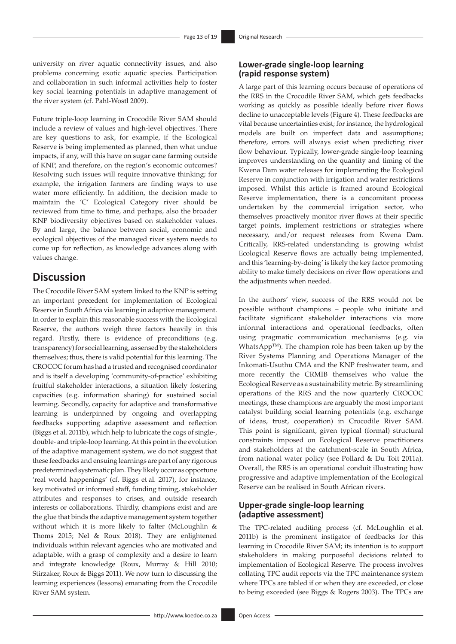university on river aquatic connectivity issues, and also problems concerning exotic aquatic species. Participation and collaboration in such informal activities help to foster key social learning potentials in adaptive management of the river system (cf. Pahl-Wostl 2009).

Future triple-loop learning in Crocodile River SAM should include a review of values and high-level objectives. There are key questions to ask, for example, if the Ecological Reserve is being implemented as planned, then what undue impacts, if any, will this have on sugar cane farming outside of KNP, and therefore, on the region's economic outcomes? Resolving such issues will require innovative thinking; for example, the irrigation farmers are finding ways to use water more efficiently. In addition, the decision made to maintain the 'C' Ecological Category river should be reviewed from time to time, and perhaps, also the broader KNP biodiversity objectives based on stakeholder values. By and large, the balance between social, economic and ecological objectives of the managed river system needs to come up for reflection, as knowledge advances along with values change.

### **Discussion**

The Crocodile River SAM system linked to the KNP is setting an important precedent for implementation of Ecological Reserve in South Africa via learning in adaptive management. In order to explain this reasonable success with the Ecological Reserve, the authors weigh three factors heavily in this regard. Firstly, there is evidence of preconditions (e.g. transparency) for social learning, as sensed by the stakeholders themselves; thus, there is valid potential for this learning. The CROCOC forum has had a trusted and recognised coordinator and is itself a developing 'community-of-practice' exhibiting fruitful stakeholder interactions, a situation likely fostering capacities (e.g. information sharing) for sustained social learning. Secondly, capacity for adaptive and transformative learning is underpinned by ongoing and overlapping feedbacks supporting adaptive assessment and reflection (Biggs et al. 2011b), which help to lubricate the cogs of single-, double- and triple-loop learning. At this point in the evolution of the adaptive management system, we do not suggest that these feedbacks and ensuing learnings are part of any rigorous predetermined systematic plan. They likely occur as opportune 'real world happenings' (cf. Biggs et al. 2017), for instance, key motivated or informed staff, funding timing, stakeholder attributes and responses to crises, and outside research interests or collaborations. Thirdly, champions exist and are the glue that binds the adaptive management system together without which it is more likely to falter (McLoughlin & Thoms 2015; Nel & Roux 2018). They are enlightened individuals within relevant agencies who are motivated and adaptable, with a grasp of complexity and a desire to learn and integrate knowledge (Roux, Murray & Hill 2010; Stirzaker, Roux & Biggs 2011). We now turn to discussing the learning experiences (lessons) emanating from the Crocodile River SAM system.

#### **Lower-grade single-loop learning (rapid response system)**

A large part of this learning occurs because of operations of the RRS in the Crocodile River SAM, which gets feedbacks working as quickly as possible ideally before river flows decline to unacceptable levels (Figure 4). These feedbacks are vital because uncertainties exist; for instance, the hydrological models are built on imperfect data and assumptions; therefore, errors will always exist when predicting river flow behaviour. Typically, lower-grade single-loop learning improves understanding on the quantity and timing of the Kwena Dam water releases for implementing the Ecological Reserve in conjunction with irrigation and water restrictions imposed. Whilst this article is framed around Ecological Reserve implementation, there is a concomitant process undertaken by the commercial irrigation sector, who themselves proactively monitor river flows at their specific target points, implement restrictions or strategies where necessary, and/or request releases from Kwena Dam. Critically, RRS-related understanding is growing whilst Ecological Reserve flows are actually being implemented, and this 'learning-by-doing' is likely the key factor promoting ability to make timely decisions on river flow operations and the adjustments when needed.

In the authors' view, success of the RRS would not be possible without champions – people who initiate and facilitate significant stakeholder interactions via more informal interactions and operational feedbacks, often using pragmatic communication mechanisms (e.g. via WhatsApp™). The champion role has been taken up by the River Systems Planning and Operations Manager of the Inkomati-Usuthu CMA and the KNP freshwater team, and more recently the CRMIB themselves who value the Ecological Reserve as a sustainability metric. By streamlining operations of the RRS and the now quarterly CROCOC meetings, these champions are arguably the most important catalyst building social learning potentials (e.g. exchange of ideas, trust, cooperation) in Crocodile River SAM. This point is significant, given typical (formal) structural constraints imposed on Ecological Reserve practitioners and stakeholders at the catchment-scale in South Africa, from national water policy (see Pollard & Du Toit 2011a). Overall, the RRS is an operational conduit illustrating how progressive and adaptive implementation of the Ecological Reserve can be realised in South African rivers.

### **Upper-grade single-loop learning (adaptive assessment)**

The TPC-related auditing process (cf. McLoughlin et al. 2011b) is the prominent instigator of feedbacks for this learning in Crocodile River SAM; its intention is to support stakeholders in making purposeful decisions related to implementation of Ecological Reserve. The process involves collating TPC audit reports via the TPC maintenance system where TPCs are tabled if or when they are exceeded, or close to being exceeded (see Biggs & Rogers 2003). The TPCs are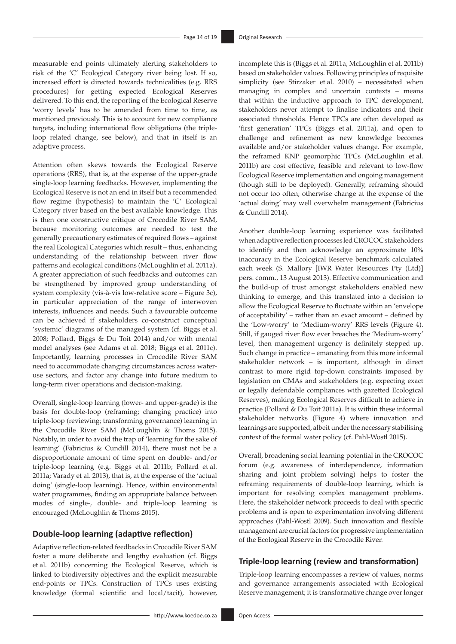measurable end points ultimately alerting stakeholders to risk of the 'C' Ecological Category river being lost. If so, increased effort is directed towards technicalities (e.g. RRS procedures) for getting expected Ecological Reserves delivered. To this end, the reporting of the Ecological Reserve 'worry levels' has to be amended from time to time, as mentioned previously. This is to account for new compliance targets, including international flow obligations (the tripleloop related change, see below), and that in itself is an adaptive process.

Attention often skews towards the Ecological Reserve operations (RRS), that is, at the expense of the upper-grade single-loop learning feedbacks. However, implementing the Ecological Reserve is not an end in itself but a recommended flow regime (hypothesis) to maintain the 'C' Ecological Category river based on the best available knowledge. This is then one constructive critique of Crocodile River SAM, because monitoring outcomes are needed to test the generally precautionary estimates of required flows – against the real Ecological Categories which result – thus, enhancing understanding of the relationship between river flow patterns and ecological conditions (McLoughlin et al. 2011a). A greater appreciation of such feedbacks and outcomes can be strengthened by improved group understanding of system complexity (vis-à-vis low-relative score – Figure 3c), in particular appreciation of the range of interwoven interests, influences and needs. Such a favourable outcome can be achieved if stakeholders co-construct conceptual 'systemic' diagrams of the managed system (cf. Biggs et al. 2008; Pollard, Biggs & Du Toit 2014) and/or with mental model analyses (see Adams et al. 2018; Biggs et al. 2011c). Importantly, learning processes in Crocodile River SAM need to accommodate changing circumstances across wateruse sectors, and factor any change into future medium to long-term river operations and decision-making.

Overall, single-loop learning (lower- and upper-grade) is the basis for double-loop (reframing; changing practice) into triple-loop (reviewing; transforming governance) learning in the Crocodile River SAM (McLoughlin & Thoms 2015). Notably, in order to avoid the trap of 'learning for the sake of learning' (Fabricius & Cundill 2014), there must not be a disproportionate amount of time spent on double- and/or triple-loop learning (e.g. Biggs et al. 2011b; Pollard et al. 2011a; Varady et al. 2013), that is, at the expense of the 'actual doing' (single-loop learning). Hence, within environmental water programmes, finding an appropriate balance between modes of single-, double- and triple-loop learning is encouraged (McLoughlin & Thoms 2015).

#### **Double-loop learning (adaptive reflection)**

Adaptive reflection-related feedbacks in Crocodile River SAM foster a more deliberate and lengthy evaluation (cf. Biggs et al. 2011b) concerning the Ecological Reserve, which is linked to biodiversity objectives and the explicit measurable end-points or TPCs. Construction of TPCs uses existing knowledge (formal scientific and local/tacit), however, based on stakeholder values. Following principles of requisite simplicity (see Stirzaker et al. 2010) – necessitated when managing in complex and uncertain contexts – means that within the inductive approach to TPC development, stakeholders never attempt to finalise indicators and their associated thresholds. Hence TPCs are often developed as 'first generation' TPCs (Biggs et al. 2011a), and open to challenge and refinement as new knowledge becomes available and/or stakeholder values change. For example, the reframed KNP geomorphic TPCs (McLoughlin et al. 2011b) are cost effective, feasible and relevant to low-flow Ecological Reserve implementation and ongoing management (though still to be deployed). Generally, reframing should not occur too often; otherwise change at the expense of the 'actual doing' may well overwhelm management (Fabricius & Cundill 2014). Another double-loop learning experience was facilitated

incomplete this is (Biggs et al. 2011a; McLoughlin et al. 2011b)

when adaptive reflection processes led CROCOC stakeholders to identify and then acknowledge an approximate 10% inaccuracy in the Ecological Reserve benchmark calculated each week (S. Mallory [IWR Water Resources Pty (Ltd)] pers. comm., 13 August 2013). Effective communication and the build-up of trust amongst stakeholders enabled new thinking to emerge, and this translated into a decision to allow the Ecological Reserve to fluctuate within an 'envelope of acceptability' – rather than an exact amount – defined by the 'Low-worry' to 'Medium-worry' RRS levels (Figure 4). Still, if gauged river flow ever breaches the 'Medium-worry' level, then management urgency is definitely stepped up. Such change in practice – emanating from this more informal stakeholder network – is important, although in direct contrast to more rigid top-down constraints imposed by legislation on CMAs and stakeholders (e.g. expecting exact or legally defendable compliances with gazetted Ecological Reserves), making Ecological Reserves difficult to achieve in practice (Pollard & Du Toit 2011a). It is within these informal stakeholder networks (Figure 4) where innovation and learnings are supported, albeit under the necessary stabilising context of the formal water policy (cf. Pahl-Wostl 2015).

Overall, broadening social learning potential in the CROCOC forum (e.g. awareness of interdependence, information sharing and joint problem solving) helps to foster the reframing requirements of double-loop learning, which is important for resolving complex management problems. Here, the stakeholder network proceeds to deal with specific problems and is open to experimentation involving different approaches (Pahl-Wostl 2009). Such innovation and flexible management are crucial factors for progressive implementation of the Ecological Reserve in the Crocodile River.

#### **Triple-loop learning (review and transformation)**

Triple-loop learning encompasses a review of values, norms and governance arrangements associated with Ecological Reserve management; it is transformative change over longer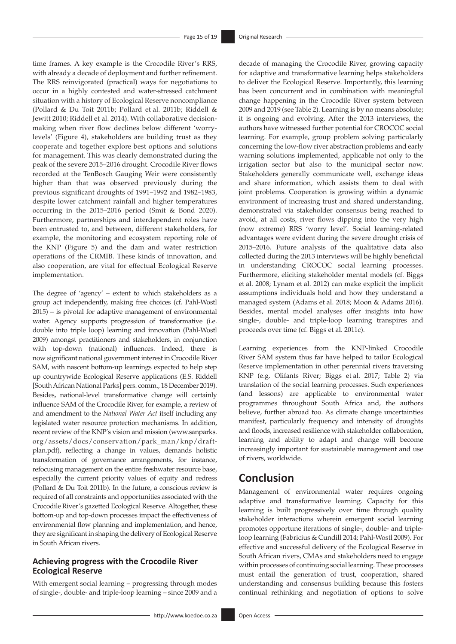time frames. A key example is the Crocodile River's RRS, with already a decade of deployment and further refinement. The RRS reinvigorated (practical) ways for negotiations to occur in a highly contested and water-stressed catchment situation with a history of Ecological Reserve noncompliance (Pollard & Du Toit 2011b; Pollard et al. 2011b; Riddell & Jewitt 2010; Riddell et al. 2014). With collaborative decisionmaking when river flow declines below different 'worrylevels' (Figure 4), stakeholders are building trust as they cooperate and together explore best options and solutions for management. This was clearly demonstrated during the peak of the severe 2015–2016 drought. Crocodile River flows recorded at the TenBosch Gauging Weir were consistently higher than that was observed previously during the previous significant droughts of 1991–1992 and 1982–1983, despite lower catchment rainfall and higher temperatures occurring in the 2015–2016 period (Smit & Bond 2020). Furthermore, partnerships and interdependent roles have been entrusted to, and between, different stakeholders, for example, the monitoring and ecosystem reporting role of the KNP (Figure 5) and the dam and water restriction operations of the CRMIB. These kinds of innovation, and also cooperation, are vital for effectual Ecological Reserve implementation.

The degree of 'agency' – extent to which stakeholders as a group act independently, making free choices (cf. Pahl-Wostl 2015) – is pivotal for adaptive management of environmental water. Agency supports progression of transformative (i.e. double into triple loop) learning and innovation (Pahl-Wostl 2009) amongst practitioners and stakeholders, in conjunction with top-down (national) influences. Indeed, there is now significant national government interest in Crocodile River SAM, with nascent bottom-up learnings expected to help step up countrywide Ecological Reserve applications (E.S. Riddell [South African National Parks] pers. comm., 18 December 2019). Besides, national-level transformative change will certainly influence SAM of the Crocodile River, for example, a review of and amendment to the *National Water Act* itself including any legislated water resource protection mechanisms. In addition, recent review of the KNP's vision and mission ([www.sanparks.](www.sanparks.org/assets/docs/conservation/park_man/knp/draft-plan.pdf) [org/assets/docs/conservation/park\\_man/knp/draft](www.sanparks.org/assets/docs/conservation/park_man/knp/draft-plan.pdf)[plan.pdf](www.sanparks.org/assets/docs/conservation/park_man/knp/draft-plan.pdf)), reflecting a change in values, demands holistic transformation of governance arrangements, for instance, refocusing management on the entire freshwater resource base, especially the current priority values of equity and redress (Pollard & Du Toit 2011b). In the future, a conscious review is required of all constraints and opportunities associated with the Crocodile River's gazetted Ecological Reserve. Altogether, these bottom-up and top-down processes impact the effectiveness of environmental flow planning and implementation, and hence, they are significant in shaping the delivery of Ecological Reserve in South African rivers.

#### **Achieving progress with the Crocodile River Ecological Reserve**

With emergent social learning – progressing through modes of single-, double- and triple-loop learning – since 2009 and a

decade of managing the Crocodile River, growing capacity for adaptive and transformative learning helps stakeholders to deliver the Ecological Reserve. Importantly, this learning has been concurrent and in combination with meaningful change happening in the Crocodile River system between 2009 and 2019 (see Table 2). Learning is by no means absolute; it is ongoing and evolving. After the 2013 interviews, the authors have witnessed further potential for CROCOC social learning. For example, group problem solving particularly concerning the low-flow river abstraction problems and early warning solutions implemented, applicable not only to the irrigation sector but also to the municipal sector now. Stakeholders generally communicate well, exchange ideas and share information, which assists them to deal with joint problems. Cooperation is growing within a dynamic environment of increasing trust and shared understanding, demonstrated via stakeholder consensus being reached to avoid, at all costs, river flows dipping into the very high (now extreme) RRS 'worry level'. Social learning-related advantages were evident during the severe drought crisis of 2015–2016. Future analysis of the qualitative data also collected during the 2013 interviews will be highly beneficial in understanding CROCOC social learning processes. Furthermore, eliciting stakeholder mental models (cf. Biggs et al. 2008; Lynam et al. 2012) can make explicit the implicit assumptions individuals hold and how they understand a managed system (Adams et al. 2018; Moon & Adams 2016). Besides, mental model analyses offer insights into how single-, double- and triple-loop learning transpires and proceeds over time (cf. Biggs et al. 2011c).

Learning experiences from the KNP-linked Crocodile River SAM system thus far have helped to tailor Ecological Reserve implementation in other perennial rivers traversing KNP (e.g. Olifants River; Biggs et al. 2017; Table 2) via translation of the social learning processes. Such experiences (and lessons) are applicable to environmental water programmes throughout South Africa and, the authors believe, further abroad too. As climate change uncertainties manifest, particularly frequency and intensity of droughts and floods, increased resilience with stakeholder collaboration, learning and ability to adapt and change will become increasingly important for sustainable management and use of rivers, worldwide.

### **Conclusion**

Management of environmental water requires ongoing adaptive and transformative learning. Capacity for this learning is built progressively over time through quality stakeholder interactions wherein emergent social learning promotes opportune iterations of single-, double- and tripleloop learning (Fabricius & Cundill 2014; Pahl-Wostl 2009). For effective and successful delivery of the Ecological Reserve in South African rivers, CMAs and stakeholders need to engage within processes of continuing social learning. These processes must entail the generation of trust, cooperation, shared understanding and consensus building because this fosters continual rethinking and negotiation of options to solve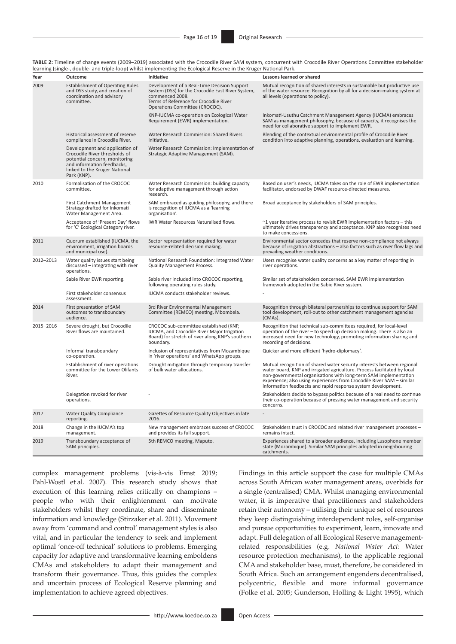| TABLE 2: Timeline of change events (2009-2019) associated with the Crocodile River SAM system, concurrent with Crocodile River Operations Committee stakeholder |  |
|-----------------------------------------------------------------------------------------------------------------------------------------------------------------|--|
| learning (single-, double- and triple-loop) whilst implementing the Ecological Reserve in the Kruger National Park.                                             |  |

| Year      | Outcome                                                                                                                                                                        | Initiative                                                                                                                                                                                      | Lessons learned or shared                                                                                                                                                                                                                                                                                                                                       |
|-----------|--------------------------------------------------------------------------------------------------------------------------------------------------------------------------------|-------------------------------------------------------------------------------------------------------------------------------------------------------------------------------------------------|-----------------------------------------------------------------------------------------------------------------------------------------------------------------------------------------------------------------------------------------------------------------------------------------------------------------------------------------------------------------|
| 2009      | <b>Establishment of Operating Rules</b><br>and DSS study, and creation of<br>coordination and advisory<br>committee.                                                           | Development of a Real-Time Decision Support<br>System (DSS) for the Crocodile East River System,<br>commenced 2008.<br>Terms of Reference for Crocodile River<br>Operations Committee (CROCOC). | Mutual recognition of shared interests in sustainable but productive use<br>of the water resource. Recognition by all for a decision-making system at<br>all levels (operations to policy).                                                                                                                                                                     |
|           |                                                                                                                                                                                | KNP-IUCMA co-operation on Ecological Water<br>Requirement (EWR) implementation.                                                                                                                 | Inkomati-Usuthu Catchment Management Agency (IUCMA) embraces<br>SAM as management philosophy, because of capacity, it recognises the<br>need for collaborative support to implement EWR.                                                                                                                                                                        |
|           | Historical assessment of reserve<br>compliance in Crocodile River.                                                                                                             | Water Research Commission: Shared Rivers<br>Initiative.                                                                                                                                         | Blending of the contextual environmental profile of Crocodile River<br>condition into adaptive planning, operations, evaluation and learning.                                                                                                                                                                                                                   |
|           | Development and application of<br>Crocodile River thresholds of<br>potential concern, monitoring<br>and information feedbacks,<br>linked to the Kruger National<br>Park (KNP). | Water Research Commission: Implementation of<br>Strategic Adaptive Management (SAM).                                                                                                            |                                                                                                                                                                                                                                                                                                                                                                 |
| 2010      | Formalisation of the CROCOC<br>committee.                                                                                                                                      | Water Research Commission: building capacity<br>for adaptive management through action<br>research.                                                                                             | Based on user's needs, IUCMA takes on the role of EWR implementation<br>facilitator, endorsed by DWAF resource-directed measures.                                                                                                                                                                                                                               |
|           | First Catchment Management<br>Strategy drafted for Inkomati<br>Water Management Area.                                                                                          | SAM embraced as guiding philosophy, and there<br>is recognition of IUCMA as a 'learning<br>organisation'.                                                                                       | Broad acceptance by stakeholders of SAM principles.                                                                                                                                                                                                                                                                                                             |
|           | Acceptance of 'Present Day' flows<br>for 'C' Ecological Category river.                                                                                                        | IWR Water Resources Naturalised flows.                                                                                                                                                          | $\approx$ 1 year iterative process to revisit EWR implementation factors – this<br>ultimately drives transparency and acceptance. KNP also recognises need<br>to make concessions.                                                                                                                                                                              |
| 2011      | Quorum established (IUCMA, the<br>environment, irrigation boards<br>and municipal use).                                                                                        | Sector representation required for water<br>resource-related decision making.                                                                                                                   | Environmental sector concedes that reserve non-compliance not always<br>because of irrigation abstractions – also factors such as river flow lags and<br>prevailing weather conditions.                                                                                                                                                                         |
| 2012-2013 | Water quality issues start being<br>discussed - integrating with river<br>operations.                                                                                          | National Research Foundation: Integrated Water<br><b>Quality Management Process.</b>                                                                                                            | Users recognise water quality concerns as a key matter of reporting in<br>river operations.                                                                                                                                                                                                                                                                     |
|           | Sabie River EWR reporting.                                                                                                                                                     | Sabie river included into CROCOC reporting,<br>following operating rules study.                                                                                                                 | Similar set of stakeholders concerned. SAM EWR implementation<br>framework adopted in the Sabie River system.                                                                                                                                                                                                                                                   |
|           | First stakeholder consensus<br>assessment.                                                                                                                                     | IUCMA conducts stakeholder reviews.                                                                                                                                                             |                                                                                                                                                                                                                                                                                                                                                                 |
| 2014      | First presentation of SAM<br>outcomes to transboundary<br>audience.                                                                                                            | 3rd River Environmental Management<br>Committee (REMCO) meeting, Mbombela.                                                                                                                      | Recognition through bilateral partnerships to continue support for SAM<br>tool development, roll-out to other catchment management agencies<br>(CMAs).                                                                                                                                                                                                          |
| 2015-2016 | Severe drought, but Crocodile<br>River flows are maintained.                                                                                                                   | CROCOC sub-committee established (KNP,<br><b>IUCMA</b> , and Crocodile River Major Irrigation<br>Board) for stretch of river along KNP's southern<br>boundary.                                  | Recognition that technical sub-committees required, for local-level<br>operation of the river - to speed up decision making. There is also an<br>increased need for new technology, promoting information sharing and<br>recording of decisions.                                                                                                                |
|           | Informal transboundary<br>co-operation.                                                                                                                                        | Inclusion of representatives from Mozambique<br>in 'river operations' and WhatsApp groups.                                                                                                      | Quicker and more efficient 'hydro-diplomacy'.                                                                                                                                                                                                                                                                                                                   |
|           | Establishment of river operations<br>committee for the Lower Olifants<br>River.                                                                                                | Drought mitigation through temporary transfer<br>of bulk water allocations.                                                                                                                     | Mutual recognition of shared water security interests between regional<br>water board, KNP and irrigated agriculture. Process facilitated by local<br>non-governmental organisations with long-term SAM implementation<br>experience; also using experiences from Crocodile River SAM - similar<br>information feedbacks and rapid response system development. |
|           | Delegation revoked for river<br>operations.                                                                                                                                    |                                                                                                                                                                                                 | Stakeholders decide to bypass politics because of a real need to continue<br>their co-operation because of pressing water management and security<br>concerns.                                                                                                                                                                                                  |
| 2017      | <b>Water Quality Compliance</b><br>reporting.                                                                                                                                  | Gazettes of Resource Quality Objectives in late<br>2016.                                                                                                                                        |                                                                                                                                                                                                                                                                                                                                                                 |
| 2018      | Change in the IUCMA's top<br>management.                                                                                                                                       | New management embraces success of CROCOC<br>and provides its full support.                                                                                                                     | Stakeholders trust in CROCOC and related river management processes -<br>remains intact.                                                                                                                                                                                                                                                                        |
| 2019      | Transboundary acceptance of<br>SAM principles.                                                                                                                                 | 5th REMCO meeting, Maputo.                                                                                                                                                                      | Experiences shared to a broader audience, including Lusophone member<br>state (Mozambique). Similar SAM principles adopted in neighbouring<br>catchments.                                                                                                                                                                                                       |

complex management problems (vis-à-vis Ernst 2019; Pahl-Wostl et al. 2007). This research study shows that execution of this learning relies critically on champions – people who with their enlightenment can motivate stakeholders whilst they coordinate, share and disseminate information and knowledge (Stirzaker et al. 2011). Movement away from 'command and control' management styles is also vital, and in particular the tendency to seek and implement optimal 'once-off technical' solutions to problems. Emerging capacity for adaptive and transformative learning emboldens CMAs and stakeholders to adapt their management and transform their governance. Thus, this guides the complex and uncertain process of Ecological Reserve planning and implementation to achieve agreed objectives.

Findings in this article support the case for multiple CMAs across South African water management areas, overbids for a single (centralised) CMA. Whilst managing environmental water, it is imperative that practitioners and stakeholders retain their autonomy – utilising their unique set of resources they keep distinguishing interdependent roles, self-organise and pursue opportunities to experiment, learn, innovate and adapt. Full delegation of all Ecological Reserve managementrelated responsibilities (e.g. *National Water Act*: Water resource protection mechanisms), to the applicable regional CMA and stakeholder base, must, therefore, be considered in South Africa. Such an arrangement engenders decentralised, polycentric, flexible and more informal governance (Folke et al. 2005; Gunderson, Holling & Light 1995), which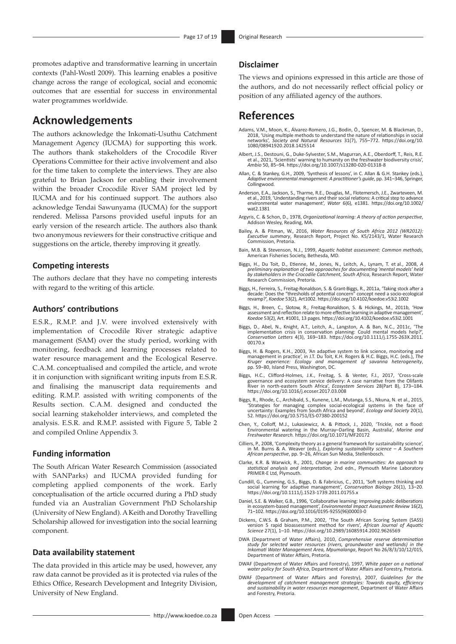promotes adaptive and transformative learning in uncertain contexts (Pahl-Wostl 2009). This learning enables a positive change across the range of ecological, social and economic outcomes that are essential for success in environmental water programmes worldwide.

### **Acknowledgements**

The authors acknowledge the Inkomati-Usuthu Catchment Management Agency (IUCMA) for supporting this work. The authors thank stakeholders of the Crocodile River Operations Committee for their active involvement and also for the time taken to complete the interviews. They are also grateful to Brian Jackson for enabling their involvement within the broader Crocodile River SAM project led by IUCMA and for his continued support. The authors also acknowledge Tendai Sawunyama (IUCMA) for the support rendered. Melissa Parsons provided useful inputs for an early version of the research article. The authors also thank two anonymous reviewers for their constructive critique and suggestions on the article, thereby improving it greatly.

#### **Competing interests**

The authors declare that they have no competing interests with regard to the writing of this article.

#### **Authors' contributions**

E.S.R., R.M.P. and J.V. were involved extensively with implementation of Crocodile River strategic adaptive management (SAM) over the study period, working with monitoring, feedback and learning processes related to water resource management and the Ecological Reserve. C.A.M. conceptualised and compiled the article, and wrote it in conjunction with significant writing inputs from E.S.R. and finalising the manuscript data requirements and editing. R.M.P. assisted with writing components of the Results section. C.A.M. designed and conducted the social learning stakeholder interviews, and completed the analysis. E.S.R. and R.M.P. assisted with Figure 5, Table 2 and compiled Online Appendix 3.

#### **Funding information**

The South African Water Research Commission (associated with SANParks) and IUCMA provided funding for completing applied components of the work. Early conceptualisation of the article occurred during a PhD study funded via an Australian Government PhD Scholarship (University of New England). A Keith and Dorothy Travelling Scholarship allowed for investigation into the social learning component.

#### **Data availability statement**

The data provided in this article may be used, however, any raw data cannot be provided as it is protected via rules of the Ethics Office, Research Development and Integrity Division, University of New England.

#### **Disclaimer**

The views and opinions expressed in this article are those of the authors, and do not necessarily reflect official policy or position of any affiliated agency of the authors.

### **References**

- , Adams, V.M., Moon, K., Álvarez-Romero, J.G., Bodin, Ö., Spencer, M. & Blackman, D.<br>2018, 'Using multiple methods to understand the nature of relationships in social<br>11), networks', *Society and Natural Resources* 31(7), [1080/08941920.2018.1425514](https://doi.org/10.1080/08941920.2018.1425514)
- Albert, J.S., Destouni, G., Duke-Sylvester, S.M., Magurran, A.E., Oberdorff, T., Reis, R.E. et al., 2021, 'Scientists' warning to humanity on the freshwater biodiversity crisis', *Ambio* 50, 85–94. <https://doi.org/10.1007/s13280-020-01318-8>
- Allan, C. & Stankey, G.H., 2009, 'Synthesis of lessons', in C. Allan & G.H. Stankey (eds.), *Adaptive environmental management: A practitioner's guide*, pp. 341–346, Springer, Collingwood.
- Anderson, E.A., Jackson, S., Tharme, R.E., Douglas, M., Flotemersch, J.E., Zwarteveen, M. et al., 2019, 'Understanding rivers and their social relations: A critical step to advance environmental water management', *Water* 6(6), e1381. [https://doi.org/10.1002/](https://doi.org/10.1002/wat2.1381) [wat2.1381](https://doi.org/10.1002/wat2.1381)
- Argyris, C. & Schon, D., 1978, *Organizational learning: A theory of action perspective*, Addison Wesley, Reading, MA.
- Bailey, A. & Pitman, W., 2016, *Water Resources of South Africa 2012 (WR2012): Executive summary*, Research Report, Project No. K5/2143/1, Water Research Commission, Pretoria.
- Bain, M.B. & Stevenson, N.J., 1999, *Aquatic habitat assessment: Common methods*, American Fisheries Society, Bethesda, MD.
- Biggs, H., Du Toit, D., Etienne, M., Jones, N., Leitch, A., Lynam, T. et al., 2008, A<br>preliminary explanation of two approaches for documenting 'mental models' held<br>by stakeholders in the Crocodile Catchment, South Africa, Research Commission, Pretoria.
- Biggs, H., Ferreira, S., Freitag-Ronaldson, S. & Grant-Biggs, R., 2011a, 'Taking stock after a decade: Does the "thresholds of potential concern" concept need a socio-ecological revamp?', *Koedoe* 53(2), Art1002.<https://doi.org/10.4102/koedoe.v53i2.1002>
- Biggs, H., Breen, C., Slotow, R., Freitag-Ronaldson, S. & Hickings, M., 2011b, 'How assessment and reflection relate to more effective learning in adaptive management', *Koedoe* 53(2), Art. #1001, 13 pages. <https://doi.org/10.4102/koedoe.v53i2.1001>
- Biggs, D., Abel, N., Knight, A.T., Leitch, A., Langston, A. & Ban, N.C., 2011c, 'The implementation crisis in conservation planning: Could mental models help?', *Conservation Letters* 4(3), 169–183. [https://doi.org/10.1111/j.1755-263X.2011.](https://doi.org/10.1111/j.1755-263X.2011.00170.x) [00170.x](https://doi.org/10.1111/j.1755-263X.2011.00170.x)
- Biggs, H. & Rogers, K.H., 2003, 'An adaptive system to link science, monitoring and management in practice', in J.T. Du Toit, K.H. Rogers & H.C. Biggs, H.C. (eds.), *The Kruger experience: Ecology and management of savanna heterogeneity*, pp. 59−80, Island Press, Washington, DC.
- Biggs, H.C., Clifford-Holmes, J.K., Freitag, S. & Venter, F.J., 2017, 'Cross-scale<br>governance and ecosystem service delivery: A case narrative from the Olifants<br>River in north-eastern South Africa', Ecosystem Services 28(P <https://doi.org/10.1016/j.ecoser.2017.03.008>
- Biggs, R., Rhode, C., Archibald, S., Kunene, L.M., Mutanga, S.S., Nkuna, N. et al., 2015,<br>Strategies for managing complex social-ecological systems in the face of<br>uncertainty: Examples from South Africa and beyond', Ecolog 52. <https://doi.org/10.5751/ES-07380-200152>
- Chen, Y., Colloff, M.J., Lukasiewicz, A. & Pittock, J., 2020, 'Trickle, not a flood: Environmental watering in the Murray–Darling Basin, Australia', *Marine and Freshwater Research.* <https://doi.org/10.1071/MF20172>
- Cilliers, P., 2008, 'Complexity theory as a general framework for sustainability science', in M. Burns & A. Weaver (eds.), *Exploring sustainability science A Southern African perspective*, pp. 9–26, African Sun Media, Stellenbosch.
- Clarke, K.R. & Warwick, R., 2001, *Change in marine communities: An approach to statistical analysis and interpretation,* 2nd edn., Plymouth Marine Laboratory PRIMER-E Ltd, Plymouth.
- Cundill, G., Cumming, G.S., Biggs, D. & Fabricius, C., 2011, 'Soft systems thinking and social learning for adaptive management', *Conservation Biology* 26(1), 13–20. <https://doi.org/10.1111/j.1523-1739.2011.01755.x>
- Daniel, S.E. & Walker, G.B., 1996, 'Collaborative learning: Improving public deliberations in ecosystem-based management', *Environmental Impact Assessment Review* 16(2), 71–102. [https://doi.org/10.1016/0195-9255\(96\)00003-0](https://doi.org/10.1016/0195-9255(96)00003-0)
- Dickens, C.W.S. & Graham, P.M., 2002, 'The South African Scoring System (SASS) version 5 rapid bioassessment method for rivers', *African Journal of Aquatic Science* 27(1), 1–10.<https://doi.org/10.2989/16085914.2002.9626569>
- DWA (Department of Water Affairs), 2010, *Comprehensive reserve determination study for selected water resources (rivers, groundwater and wetlands) in the Inkomati Water Management Area, Mpumalanga*, Report No 26/8/3/10/12/015, Department of Water Affairs, Pretoria.
- DWAF (Department of Water Affairs and Forestry), 1997, *White paper on a national water policy for South Africa*, Department of Water Affairs and Forestry, Pretoria.
- DWAF (Department of Water Affairs and Forestry), 2007, *Guidelines for the development of catchment management strategies: Towards equity, efficiency and sustainability in water resources management*, Department of Water Affairs and Forestry, Pretoria.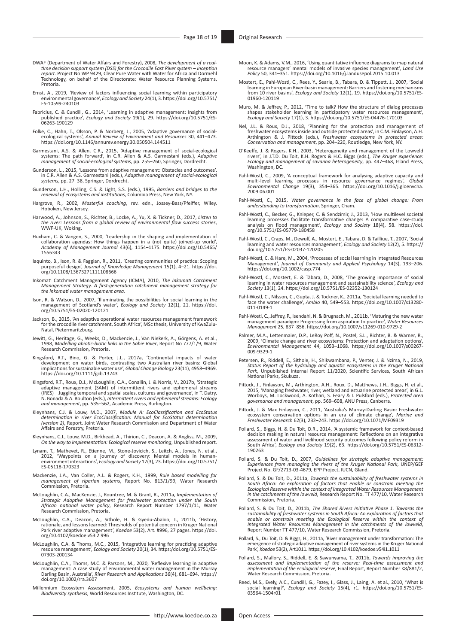- DWAF (Department of Water Affairs and Forestry), 2008, The development of a real-<br>time decision support system (DSS) for the Crocodile East River system Inception<br>report. Project No WP 9429, Clear Pure Water with Water f Technology, on behalf of the Directorate: Water Resource Planning Systems, Pretoria.
- Ernst, A., 2019, 'Review of factors influencing social learning within participatory environmental governance', *Ecology and Society* 24(1), 3. [https://doi.org/10.5751/](https://doi.org/10.5751/ES-10599-240103) [ES-10599-240103](https://doi.org/10.5751/ES-10599-240103)
- Fabricius, C. & Cundill, G., 2014, 'Learning in adaptive management: Insights from<br>published practice', *Ecology and Society* 19(1), 29. https://doi.org/10.5751/ES-<br>[06263-190129](https://doi.org/10.5751/ES-06263-190129)
- Folke, C., Hahn, T., Olsson, P. & Norberg, J., 2005, 'Adaptive governance of social-<br>ecological systems', Annual Review of Environment and Resources 30, 441–473.<br><https://doi.org/10.1146/annurev.energy.30.050504.144511>
- Garmestani, A.S. & Allen, C.R., 2015, 'Adaptive management of social-ecological systems: The path forward', in C.R. Allen & A.S. Garmestani (eds.), *Adaptive management of social-ecological systems*, pp. 255–260, Springer, Dordrecht.
- Gunderson, L., 2015, 'Lessons from adaptive management: Obstacles and outcomes',<br>in C.R. Allen & A.S. Garmestani (eds.), *Adaptive management of social-ecological*<br>*systems*, pp. 27–38, Springer, Dordrecht.
- Gunderson, L.H., Holling, C.S. & Light, S.S. (eds.), 1995, *Barriers and bridges to the renewal of ecosystems and institutions*, Columbia Press, New York, NY.
- Hargrove, R., 2002, *Masterful coaching*, rev. edn., Jossey-Bass/Pfeiffer, Wiley, Hoboken, New Jersey.
- Harwood, A., Johnson, S., Richter, B., Locke, A., Yu, X. & Tickner, D., 2017, *Listen to the river: Lessons from a global review of environmental flow success stories*, WWF-UK, Woking.
- Huxham, C. & Vangen, S., 2000, 'Leadership in the shaping and implementation of<br>collaboration agendas: How things happen in a (not quite) joined-up world',<br>Academy of Management Journal 43(6), 1154-1175. https://doi.org/10 [1556343](https://doi.org/10.5465/1556343)
- Iaquinto, B., Ison, R. & Faggian, R., 2011, 'Creating communities of practice: Scoping purposeful design', *Journal of Knowledge Management* 15(1), 4–21. [https://doi.](https://doi.org/10.1108/13673271111108666) [org/10.1108/13673271111108666](https://doi.org/10.1108/13673271111108666)
- Inkomati Catchment Management Agency (ICMA), 2010, *The Inkomati Catchment Management Strategy. A first-generation catchment management strategy for the inkomati water management area*.
- Ison, R. & Watson, D., 2007, 'Illuminating the possibilities for social learning in the management of Scotland's water', *Ecology and Society* 12(1), 21. [https://doi.](https://doi.org/10.5751/ES-02020-120121) [org/10.5751/ES-02020-120121](https://doi.org/10.5751/ES-02020-120121)
- Jackson, B., 2015, 'An adaptive operational water resources management framework for the crocodile river catchment, South Africa', MSc thesis, University of KwaZulu-Natal, Pietermaritzburg.
- Jewitt, G., Heritage, G., Weeks, D., Mackenzie, J., Van Niekerk, A., Görgens, A. et al., 1998, *Modelling abiotic-biotic links in the Sabie River*, Report No 777/1/9, Water Research Commission, Pretoria.
- Kingsford, R.T., Bino, G. & Porter, J.L., 2017a, 'Continental impacts of water development on water birds, contrasting two Australian river basins: Global implications for sustainable water use', *Global Change Biology* 23(11), 4958–4969. <https://doi.org/10.1111/gcb.13743>
- Kingsford, R.T., Roux, D.J., McLoughlin, C.A., Conallin, J. & Norris, V., 2017b, 'Strategic<br>| adaptive management (SAM) of intermittent rivers and ephemeral streams<br>|IRES) Juggling temporal and spatial scales, cultures a N. Bonada & A. Boulton (eds.), *Intermittent rivers and ephemeral streams: Ecology and management*, pp. 535–562, Academic Press, Burlington.
- Kleynhans, C.J. & Louw, M.D., 2007, Module A: EcoClassification and EcoStatus<br>determination in river EcoClassification: Manual for EcoStatus determination<br>(version 2), Report. Joint Water Research Commission and Department Affairs and Forestry, Pretoria.
- Kleynhans, C.J., Louw, M.D., Birkhead, A., Thirion, C., Deacon, A. & Angliss, M., 2009, *On the way to implementation: Ecological reserve monitoring*, Unpublished report.
- Lynam, T., Mathevet, R., Etienne, M., Stone-Jovicich, S., Leitch, A., Jones, N. et al., 2012, 'Waypoints on a journey of discovery: Mental models in human-environment interactions', *Ecology and Society* 17(3), 23. [https://doi.org/10.5751/](https://doi.org/10.5751/ES-05118-170323) [ES-05118-170323](https://doi.org/10.5751/ES-05118-170323)
- Mackenzie, J.A., Van Coller, A.L. & Rogers, K.H., 1999, *Rule based modelling for management of riparian systems*, Report No. 813/1/99, Water Research Commission, Pretoria.
- McLoughlin, C.A., MacKenzie, J., Rountree, M. & Grant, R., 2011a, *Implementation of Strategic Adaptive Management for freshwater protection under the South African national water policy*, Research Report Number 1797/1/11, Water Research Commission, Pretoria.
- McLoughlin, C.A., Deacon, A., Sithole, H. & Gyedu-Ababio, T., 2011b, 'History, rationale, and lessons learned: Thresholds of potential concern in Kruger National Park river adaptive management', *Koedoe* 53(2), Art. #996, 27 pages. [https://doi.](https://doi.org/10.4102/koedoe.v53i2.996) [org/10.4102/koedoe.v53i2.996](https://doi.org/10.4102/koedoe.v53i2.996)
- McLoughlin, C.A. & Thoms, M.C., 2015, 'Integrative learning for practicing adaptive resource management', *Ecology and Society* 20(1), 34. [https:/doi.org/10.5751/ES-](https:/doi.org/10.5751/ES-07303-200134)[07303-200134](https:/doi.org/10.5751/ES-07303-200134)
- McLoughlin, C.A., Thoms, M.C. & Parsons, M., 2020, 'Reflexive learning in adaptive<br>management: A case study of environmental water management in the Murray<br>Darling Basin, Australia', River Research and Applications 36(4), [doi.org/10.1002/rra.3607](https://doi.org/10.1002/rra.3607)
- Millennium Ecosystem Assessment, 2005, *Ecosystems and human wellbeing: Biodiversity synthesis*, World Resources Institute, Washington, DC.
- Moon, K. & Adams, V.M., 2016, 'Using quantitative influence diagrams to map natural resource managers' mental models of invasive species management', *Land Use Policy* 50, 341–351. <https://doi.org/10.1016/j.landusepol.2015.10.013>
- Mostert, E., Pahl-Wostl, C., Rees, Y., Searle, B., Tabara, D. & Tippett, J., 2007, 'Social learning in European River-basin management: Barriers and fostering mechanisms from 10 river basins', *Ecology and Society* 12(1), 19. [https://doi.org/10.5751/ES-](https://doi.org/10.5751/ES-01960-120119)[01960-120119](https://doi.org/10.5751/ES-01960-120119)
- Muro, M. & Jeffrey, P., 2012, 'Time to talk? How the structure of dialog processes<br>shapes stakeholder learning in participatory water resources management',<br>Ecology and Society 17(1), 3. https://doi.org/10.5751/ES-04476-17
- Nel, J.L. & Roux, D.J., 2018, 'Planning for the protection and management of freshwater ecosystems inside and outside protected areas', in C.M. Finlayson, A.H.<br>Arthington 《& J. Pittock(eds.), *Freshwater ecosystems in protected areas:*<br>*Conservation and management, p*p. 204–220, Routledge, New York
- O'Keeffe, J. & Rogers, K.H., 2003, 'Heterogeneity and management of the Lowveld<br>rivers', in J.T.D. Du Toit, K.H. Rogers & H.C. Biggs (eds.), The Kruger experience:<br>Ecology and management of savanna heterogeneity, pp. 447–4 Washington, DC.
- Pahl-Wostl, C., 2009, 'A conceptual framework for analysing adaptive capacity and multi-level learning processes in resource governance regimes', *Global Environmental Change* 19(3), 354–365. [https://doi.org/10.1016/j.gloenvcha.](https://doi.org/10.1016/j.gloenvcha.2009.06.001) [2009.06.001](https://doi.org/10.1016/j.gloenvcha.2009.06.001)
- Pahl-Wostl, C., 2015, *Water governance in the face of global change: From understanding to transformation*, Springer, Cham.
- Pahl-Wostl, C., Becker, G., Knieper, C. & Sendzimir, J., 2013, 'How multilevel societal<br>learning processes facilitate transformative change: A comparative case-study<br>analysis on flood management', Ecology and Society 18(4) [org/10.5751/ES-05779-180458](https://doi.org/10.5751/ES-05779-180458)
- Pahl-Wostl, C., Craps, M., Dewulf, A., Mostert, E., Tabara, D. & Tailliue, T., 2007, 'Social learning and water resources management', *Ecology and Society* 12(2), 5. [https://](https://doi.org/10.5751/ES-02037-120205) [doi.org/10.5751/ES-02037-120205](https://doi.org/10.5751/ES-02037-120205)
- Pahl-Wostl, C. & Hare, M., 2004, 'Processes of social learning in Integrated Resources Management', *Journal of Community and Applied Psychology* 14(3), 193–206. <https://doi.org/10.1002/casp.774>
- Pahl-Wostl, C., Mostert, E. & Tàbara, D., 2008, 'The growing importance of social learning in water resources management and sustainability science', *Ecology and Society* 13(1), 24.<https://doi.org/10.5751/ES-02352-130124>
- Pahl-Wostl, C., Nilsson, C., Gupta, J. & Tockner, K., 2011a, 'Societal learning needed to face the water challenge', *Ambio* 40, 549–553. [https://doi.org/10.1007/s13280-](https://doi.org/10.1007/s13280-011-0149-1) [011-0149-1](https://doi.org/10.1007/s13280-011-0149-1)
- Pahl-Wostl, C., Jeffrey, P., Isendahl, N. & Brugnach, M., 2011b, 'Maturing the new water<br>management paradigm: Progressing from aspiration to practice', Water Resources<br>Management 25, 837–856. https://doi.org/10.1007/s11269
- Palmer, M.A., Lettenmaier, D.P., LeRoy Poff, N., Postel, S.L., Richter, B. & Warner, R. 2009, 'Climate change and river ecosystems: Protection and adaptation options', *Environmental Management* 44, 1053–1068. [https://doi.org/10.1007/s00267-](https://doi.org/10.1007/s00267-009-9329-1) [009-9329-1](https://doi.org/10.1007/s00267-009-9329-1)
- Petersen, R., Riddell, E., Sithole, H., Shikwambana, P., Venter, J. & Nzima, N., 2019, *Status Report of the hydrology and aquatic ecosystems in the Kruger National*<br>*Park, Unpublished Internal Report 11/2020, Scientific Services, South African<br>National Parks, Skukuza.*
- Pittock, J., Finlayson, M., Arthington, A.H., Roux, D., Matthews, J.H., Biggs, H. et al., 2015, 'Managing freshwater, river, wetland and estuarine protected areas', in G.L.<br>Worboys, M. Lockwood, A. Kothari, S. Feary & I. Pulsford (eds.), *Protected area*<br>*governance and management*, pp. 569–608, ANU Press, Canb
- Pittock, J. & Max Finlayson, C., 2011, 'Australia's Murray-Darling Basin: Freshwater<br>ecosystem conservation options in an era of climate change', Marine and<br>Freshwater Research 62(3), 232–243. https://doi.org/10.1071/MF093
- Pollard, S., Biggs, H. & Du Toit, D.R., 2014, 'A systemic framework for context-based decision making in natural resource management: Reflections on an integrative<br>assessment of water and livelihood security outcomes following policy reform in<br>South Africa', *Ecology and Society* 19(2), 63. https://doi.org/ [190263](https://doi.org/10.5751/ES-06312-190263)
- Pollard, S. & Du Toit, D., 2007, *Guidelines for strategic adaptive management: Experiences from managing the rivers of the Kruger National Park*, UNEP/GEF Project No. GF/2713-03-4679, EPP Project, IUCN, Gland.
- Pollard, S. & Du Toit, D., 2011a, *Towards the sustainability of freshwater systems in South Africa: An exploration of factors that enable or constrain meeting the Ecological Reserve within the context of Integrated Water Resources Management in the catchments of the lowveld*, Research Report No. TT 477/10, Water Research Commission, Pretoria.
- Pollard, S. & Du Toit, D., 2011b, The Shared Rivers Initiative Phase 1. Towards the sustainability of freshwater systems in South Africa: An exploration of factors that enable or constrain meeting the Ecological Reserve wi
- Pollard, S., Du Toit, D. & Biggs, H., 2011a, 'River management under transformation: The emergence of strategic adaptive management of river systems in the Kruger National Park', *Koedoe* 53(2), Art1011.<https://doi.org/10.4102/koedoe.v54i1.1011>
- Pollard, S., Mallory, S., Riddell, E. & Sawunyama, T., 2011b, *Towards improving the assessment and implementation of the reserve: Real-time assessment and implementation of the ecological reserve,* Final Report, Report Number K8/881/2, Water Research Commission, Pretoria.
- Reed, M.S., Evely, A.C., Cundill, G., Fazey, I., Glass, J., Laing, A. et al., 2010, 'What is social learning?', *Ecology and Society* 15(4), r1. [https://doi.org/10.5751/ES-](https://doi.org/10.5751/ES-03564-1504r01)[03564-1504r01](https://doi.org/10.5751/ES-03564-1504r01)